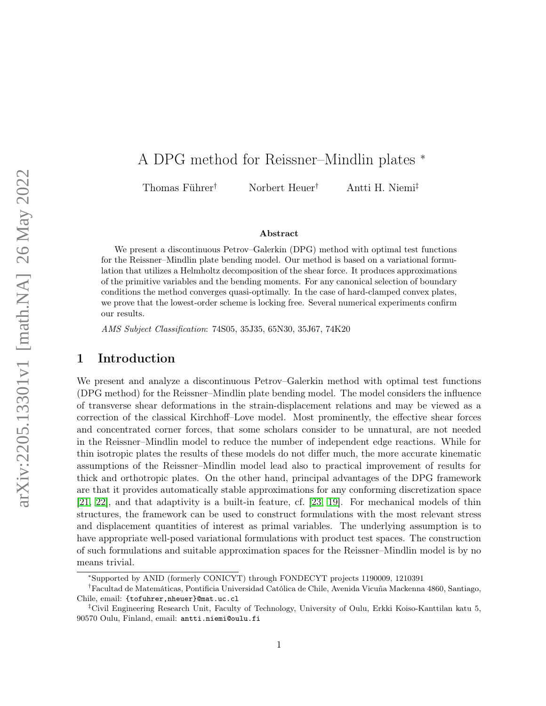# A DPG method for Reissner–Mindlin plates <sup>∗</sup>

Thomas Führer† Norbert Heuer† Antti H. Niemi‡

#### Abstract

We present a discontinuous Petrov–Galerkin (DPG) method with optimal test functions for the Reissner–Mindlin plate bending model. Our method is based on a variational formulation that utilizes a Helmholtz decomposition of the shear force. It produces approximations of the primitive variables and the bending moments. For any canonical selection of boundary conditions the method converges quasi-optimally. In the case of hard-clamped convex plates, we prove that the lowest-order scheme is locking free. Several numerical experiments confirm our results.

AMS Subject Classification: 74S05, 35J35, 65N30, 35J67, 74K20

# 1 Introduction

We present and analyze a discontinuous Petrov–Galerkin method with optimal test functions (DPG method) for the Reissner–Mindlin plate bending model. The model considers the influence of transverse shear deformations in the strain-displacement relations and may be viewed as a correction of the classical Kirchhoff–Love model. Most prominently, the effective shear forces and concentrated corner forces, that some scholars consider to be unnatural, are not needed in the Reissner–Mindlin model to reduce the number of independent edge reactions. While for thin isotropic plates the results of these models do not differ much, the more accurate kinematic assumptions of the Reissner–Mindlin model lead also to practical improvement of results for thick and orthotropic plates. On the other hand, principal advantages of the DPG framework are that it provides automatically stable approximations for any conforming discretization space [\[21,](#page-24-0) [22\]](#page-25-0), and that adaptivity is a built-in feature, cf. [\[23,](#page-25-1) [19\]](#page-24-1). For mechanical models of thin structures, the framework can be used to construct formulations with the most relevant stress and displacement quantities of interest as primal variables. The underlying assumption is to have appropriate well-posed variational formulations with product test spaces. The construction of such formulations and suitable approximation spaces for the Reissner–Mindlin model is by no means trivial.

<sup>∗</sup> Supported by ANID (formerly CONICYT) through FONDECYT projects 1190009, 1210391

<sup>†</sup>Facultad de Matemáticas, Pontificia Universidad Católica de Chile, Avenida Vicuña Mackenna 4860, Santiago, Chile, email: {tofuhrer, nheuer}@mat.uc.cl

<sup>‡</sup>Civil Engineering Research Unit, Faculty of Technology, University of Oulu, Erkki Koiso-Kanttilan katu 5, 90570 Oulu, Finland, email: antti.niemi@oulu.fi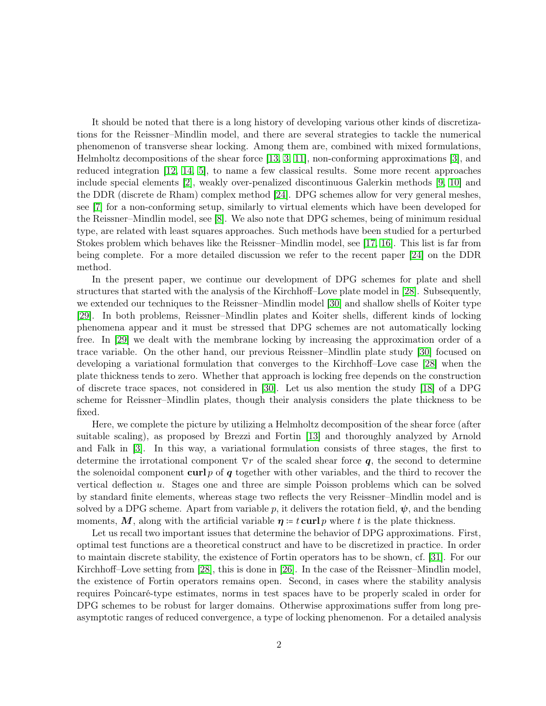It should be noted that there is a long history of developing various other kinds of discretizations for the Reissner–Mindlin model, and there are several strategies to tackle the numerical phenomenon of transverse shear locking. Among them are, combined with mixed formulations, Helmholtz decompositions of the shear force [\[13,](#page-24-2) [3,](#page-23-0) [11\]](#page-24-3), non-conforming approximations [\[3\]](#page-23-0), and reduced integration [\[12,](#page-24-4) [14,](#page-24-5) [5\]](#page-23-1), to name a few classical results. Some more recent approaches include special elements [\[2\]](#page-23-2), weakly over-penalized discontinuous Galerkin methods [\[9,](#page-24-6) [10\]](#page-24-7) and the DDR (discrete de Rham) complex method [\[24\]](#page-25-2). DPG schemes allow for very general meshes, see [\[7\]](#page-23-3) for a non-conforming setup, similarly to virtual elements which have been developed for the Reissner–Mindlin model, see [\[8\]](#page-24-8). We also note that DPG schemes, being of minimum residual type, are related with least squares approaches. Such methods have been studied for a perturbed Stokes problem which behaves like the Reissner–Mindlin model, see [\[17,](#page-24-9) [16\]](#page-24-10). This list is far from being complete. For a more detailed discussion we refer to the recent paper [\[24\]](#page-25-2) on the DDR method.

In the present paper, we continue our development of DPG schemes for plate and shell structures that started with the analysis of the Kirchhoff–Love plate model in [\[28\]](#page-25-3). Subsequently, we extended our techniques to the Reissner–Mindlin model [\[30\]](#page-25-4) and shallow shells of Koiter type [\[29\]](#page-25-5). In both problems, Reissner–Mindlin plates and Koiter shells, different kinds of locking phenomena appear and it must be stressed that DPG schemes are not automatically locking free. In [\[29\]](#page-25-5) we dealt with the membrane locking by increasing the approximation order of a trace variable. On the other hand, our previous Reissner–Mindlin plate study [\[30\]](#page-25-4) focused on developing a variational formulation that converges to the Kirchhoff–Love case [\[28\]](#page-25-3) when the plate thickness tends to zero. Whether that approach is locking free depends on the construction of discrete trace spaces, not considered in [\[30\]](#page-25-4). Let us also mention the study [\[18\]](#page-24-11) of a DPG scheme for Reissner–Mindlin plates, though their analysis considers the plate thickness to be fixed.

Here, we complete the picture by utilizing a Helmholtz decomposition of the shear force (after suitable scaling), as proposed by Brezzi and Fortin [\[13\]](#page-24-2) and thoroughly analyzed by Arnold and Falk in [\[3\]](#page-23-0). In this way, a variational formulation consists of three stages, the first to determine the irrotational component  $\nabla r$  of the scaled shear force q, the second to determine the solenoidal component curl  $p$  of  $q$  together with other variables, and the third to recover the vertical deflection u. Stages one and three are simple Poisson problems which can be solved by standard finite elements, whereas stage two reflects the very Reissner–Mindlin model and is solved by a DPG scheme. Apart from variable p, it delivers the rotation field,  $\psi$ , and the bending moments, M, along with the artificial variable  $\eta = t \text{ curl } p$  where t is the plate thickness.

Let us recall two important issues that determine the behavior of DPG approximations. First, optimal test functions are a theoretical construct and have to be discretized in practice. In order to maintain discrete stability, the existence of Fortin operators has to be shown, cf. [\[31\]](#page-25-6). For our Kirchhoff–Love setting from [\[28\]](#page-25-3), this is done in [\[26\]](#page-25-7). In the case of the Reissner–Mindlin model, the existence of Fortin operators remains open. Second, in cases where the stability analysis requires Poincaré-type estimates, norms in test spaces have to be properly scaled in order for DPG schemes to be robust for larger domains. Otherwise approximations suffer from long preasymptotic ranges of reduced convergence, a type of locking phenomenon. For a detailed analysis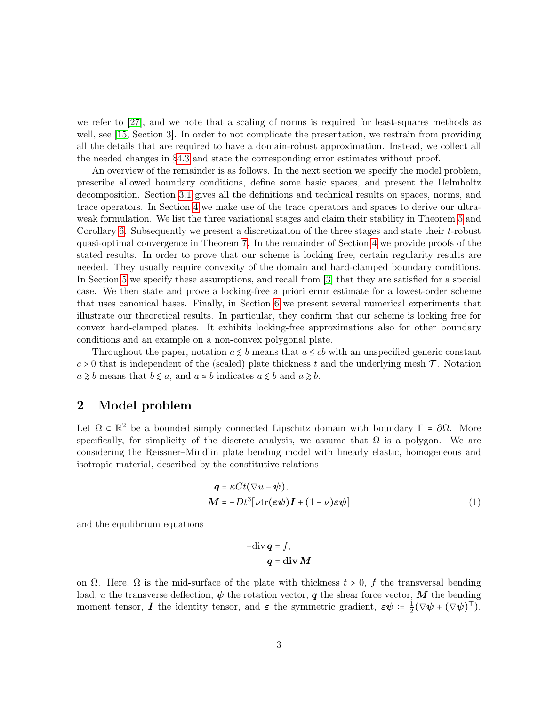we refer to [\[27\]](#page-25-8), and we note that a scaling of norms is required for least-squares methods as well, see [\[15,](#page-24-12) Section 3]. In order to not complicate the presentation, we restrain from providing all the details that are required to have a domain-robust approximation. Instead, we collect all the needed changes in [§4.3](#page-13-0) and state the corresponding error estimates without proof.

An overview of the remainder is as follows. In the next section we specify the model problem, prescribe allowed boundary conditions, define some basic spaces, and present the Helmholtz decomposition. Section [3.1](#page-6-0) gives all the definitions and technical results on spaces, norms, and trace operators. In Section [4](#page-8-0) we make use of the trace operators and spaces to derive our ultraweak formulation. We list the three variational stages and claim their stability in Theorem [5](#page-9-0) and Corollary [6.](#page-9-1) Subsequently we present a discretization of the three stages and state their  $t$ -robust quasi-optimal convergence in Theorem [7.](#page-9-2) In the remainder of Section [4](#page-8-0) we provide proofs of the stated results. In order to prove that our scheme is locking free, certain regularity results are needed. They usually require convexity of the domain and hard-clamped boundary conditions. In Section [5](#page-15-0) we specify these assumptions, and recall from [\[3\]](#page-23-0) that they are satisfied for a special case. We then state and prove a locking-free a priori error estimate for a lowest-order scheme that uses canonical bases. Finally, in Section [6](#page-19-0) we present several numerical experiments that illustrate our theoretical results. In particular, they confirm that our scheme is locking free for convex hard-clamped plates. It exhibits locking-free approximations also for other boundary conditions and an example on a non-convex polygonal plate.

Throughout the paper, notation  $a \leq b$  means that  $a \leq cb$  with an unspecified generic constant  $c > 0$  that is independent of the (scaled) plate thickness t and the underlying mesh  $\mathcal{T}$ . Notation  $a \geq b$  means that  $b \leq a$ , and  $a \simeq b$  indicates  $a \leq b$  and  $a \geq b$ .

# 2 Model problem

Let  $\Omega \subset \mathbb{R}^2$  be a bounded simply connected Lipschitz domain with boundary  $\Gamma = \partial \Omega$ . More specifically, for simplicity of the discrete analysis, we assume that  $\Omega$  is a polygon. We are considering the Reissner–Mindlin plate bending model with linearly elastic, homogeneous and isotropic material, described by the constitutive relations

$$
\mathbf{q} = \kappa G t (\nabla u - \psi),\n\mathbf{M} = -Dt^3 [\nu \text{tr}(\varepsilon \psi) \mathbf{I} + (1 - \nu) \varepsilon \psi]
$$
\n(1)

and the equilibrium equations

<span id="page-2-0"></span>
$$
-\text{div}\,\boldsymbol{q} = f,
$$

$$
\boldsymbol{q} = \text{div}\,\boldsymbol{M}
$$

on  $\Omega$ . Here,  $\Omega$  is the mid-surface of the plate with thickness  $t > 0$ , f the transversal bending load, u the transverse deflection,  $\psi$  the rotation vector, q the shear force vector, M the bending moment tensor, **I** the identity tensor, and  $\varepsilon$  the symmetric gradient,  $\varepsilon \psi = \frac{1}{2}$  $\frac{1}{2}(\nabla\psi+(\nabla\psi)^{\mathsf{T}}).$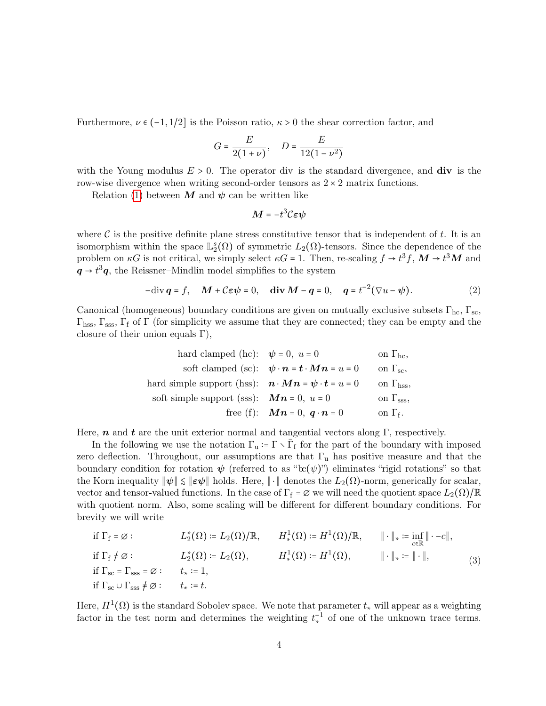Furthermore,  $\nu \in (-1, 1/2]$  is the Poisson ratio,  $\kappa > 0$  the shear correction factor, and

$$
G = \frac{E}{2(1+\nu)}, \quad D = \frac{E}{12(1-\nu^2)}
$$

with the Young modulus  $E > 0$ . The operator div is the standard divergence, and div is the row-wise divergence when writing second-order tensors as  $2 \times 2$  matrix functions.

Relation [\(1\)](#page-2-0) between M and  $\psi$  can be written like

<span id="page-3-0"></span>
$$
\boldsymbol{M} = -t^3 \mathcal{C} \boldsymbol{\varepsilon} \boldsymbol{\psi}
$$

where  $\mathcal C$  is the positive definite plane stress constitutive tensor that is independent of t. It is an isomorphism within the space  $\mathbb{L}_{2}^{s}(\Omega)$  of symmetric  $L_{2}(\Omega)$ -tensors. Since the dependence of the problem on  $\kappa G$  is not critical, we simply select  $\kappa G = 1$ . Then, re-scaling  $f \to t^3 f$ ,  $\mathbf{M} \to t^3 \mathbf{M}$  and  $q \rightarrow t^3 q$ , the Reissner–Mindlin model simplifies to the system

$$
-\text{div}\,\mathbf{q} = f, \quad \mathbf{M} + \mathbf{C}\boldsymbol{\varepsilon}\boldsymbol{\psi} = 0, \quad \text{div}\,\mathbf{M} - \mathbf{q} = 0, \quad \mathbf{q} = t^{-2}(\nabla u - \boldsymbol{\psi}).\tag{2}
$$

Canonical (homogeneous) boundary conditions are given on mutually exclusive subsets  $\Gamma_{\text{hc}}$ ,  $\Gamma_{\text{sc}}$ ,  $\Gamma_{\text{hss}}, \Gamma_{\text{sss}}, \Gamma_{\text{f}}$  of  $\Gamma$  (for simplicity we assume that they are connected; they can be empty and the closure of their union equals  $\Gamma$ ),

| hard clamped (hc):         | $\psi = 0$ , $u = 0$                | on $\Gamma_{hc}$ ,  |
|----------------------------|-------------------------------------|---------------------|
| soft clamped (sc):         | $\psi \cdot n = t \cdot Mn = u = 0$ | on $\Gamma_{sc}$ ,  |
| hard simple support (hss): | $n \cdot Mn = \psi \cdot t = u = 0$ | on $\Gamma_{hss}$ , |
| soft simple support (sss): | $Mn = 0$ , $u = 0$                  | on $\Gamma_{ss}$ ,  |
| free (f):                  | $Mn = 0$ , $q \cdot n = 0$          | on $\Gamma_f$ .     |

Here, n and t are the unit exterior normal and tangential vectors along  $\Gamma$ , respectively.

In the following we use the notation  $\Gamma_u := \Gamma \setminus \overline{\Gamma}_f$  for the part of the boundary with imposed zero deflection. Throughout, our assumptions are that  $\Gamma_u$  has positive measure and that the boundary condition for rotation  $\psi$  (referred to as " $\operatorname{tr}(\psi)$ ") eliminates "rigid rotations" so that the Korn inequality  $\|\psi\| \leq \|\varepsilon\psi\|$  holds. Here,  $\|\cdot\|$  denotes the  $L_2(\Omega)$ -norm, generically for scalar, vector and tensor-valued functions. In the case of  $\Gamma_f = \varnothing$  we will need the quotient space  $L_2(\Omega)/\mathbb{R}$ with quotient norm. Also, some scaling will be different for different boundary conditions. For brevity we will write

<span id="page-3-1"></span>if 
$$
\Gamma_f = \emptyset
$$
:  
\n $L_2^*(\Omega) := L_2(\Omega)/\mathbb{R}$ ,  $H_*^1(\Omega) := H^1(\Omega)/\mathbb{R}$ ,  $\|\cdot\|_* := \inf_{c \in \mathbb{R}} \|\cdot - c\|$ ,  
\nif  $\Gamma_f \neq \emptyset$ :  
\nif  $\Gamma_{sc} = \Gamma_{sss} = \emptyset$ :  
\nif  $\Gamma_{sc} = \Gamma_{sss} = \emptyset$ :  
\n $t_* := 1$ ,  
\nif  $\Gamma_{sc} \cup \Gamma_{sss} \neq \emptyset$ :  
\n $t_* := t$ .  
\n(3)

Here,  $H^1(\Omega)$  is the standard Sobolev space. We note that parameter  $t_*$  will appear as a weighting factor in the test norm and determines the weighting  $t_*^{-1}$  of one of the unknown trace terms.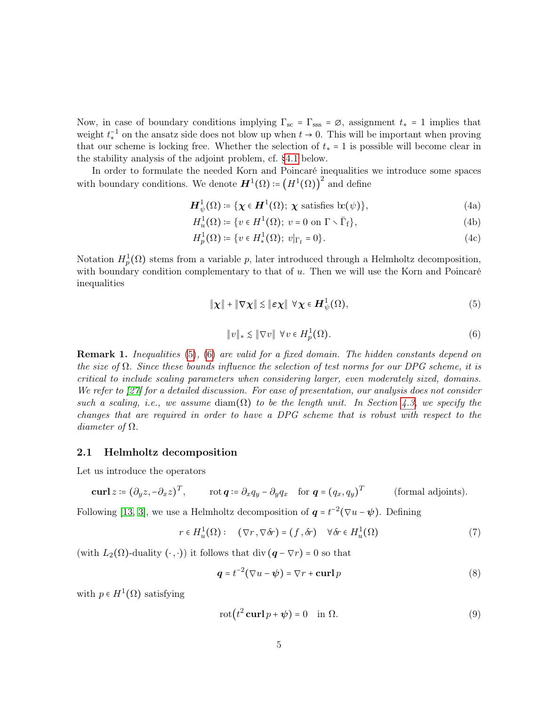Now, in case of boundary conditions implying  $\Gamma_{\rm sc} = \Gamma_{\rm sss} = \varnothing$ , assignment  $t_* = 1$  implies that weight  $t_*^{-1}$  on the ansatz side does not blow up when  $t \to 0$ . This will be important when proving that our scheme is locking free. Whether the selection of  $t_* = 1$  is possible will become clear in the stability analysis of the adjoint problem, cf. [§4.1](#page-10-0) below.

In order to formulate the needed Korn and Poincaré inequalities we introduce some spaces with boundary conditions. We denote  $\boldsymbol{H}^1(\Omega) \coloneqq (\boldsymbol{H}^1(\Omega))^2$  and define

<span id="page-4-4"></span> $\boldsymbol{H}_{\psi}^{1}(\Omega) \coloneqq \{ \boldsymbol{\chi} \in \boldsymbol{H}^{1}(\Omega); \ \boldsymbol{\chi} \text{ satisfies } \operatorname{bc}(\psi) \},$  (4a)

$$
H_u^1(\Omega) \coloneqq \{ v \in H^1(\Omega); \ v = 0 \text{ on } \Gamma \setminus \overline{\Gamma}_f \},\tag{4b}
$$

$$
H_p^1(\Omega) \coloneqq \{ v \in H^1_*(\Omega); \ v|_{\Gamma_f} = 0 \}. \tag{4c}
$$

Notation  $H_p^1(\Omega)$  stems from a variable p, later introduced through a Helmholtz decomposition, with boundary condition complementary to that of  $u$ . Then we will use the Korn and Poincaré inequalities

$$
\|\boldsymbol{\chi}\| + \|\nabla \boldsymbol{\chi}\| \lesssim \|\boldsymbol{\varepsilon} \boldsymbol{\chi}\| \ \forall \boldsymbol{\chi} \in \boldsymbol{H}_{\psi}^1(\Omega), \tag{5}
$$

<span id="page-4-1"></span><span id="page-4-0"></span>
$$
||v||_* \lesssim ||\nabla v|| \ \forall v \in H_p^1(\Omega). \tag{6}
$$

<span id="page-4-5"></span>Remark 1. Inequalities [\(5\)](#page-4-0), [\(6\)](#page-4-1) are valid for a fixed domain. The hidden constants depend on the size of  $\Omega$ . Since these bounds influence the selection of test norms for our DPG scheme, it is critical to include scaling parameters when considering larger, even moderately sized, domains. We refer to [\[27\]](#page-25-8) for a detailed discussion. For ease of presentation, our analysis does not consider such a scaling, i.e., we assume diam( $\Omega$ ) to be the length unit. In Section [4.3,](#page-13-0) we specify the changes that are required in order to have a DPG scheme that is robust with respect to the diameter of  $\Omega$ .

## 2.1 Helmholtz decomposition

Let us introduce the operators

$$
\mathbf{curl}\,z \coloneqq (\partial_y z, -\partial_x z)^T, \qquad \text{rot}\,\mathbf{q} \coloneqq \partial_x q_y - \partial_y q_x \quad \text{for}\,\,\mathbf{q} = (q_x, q_y)^T \qquad \text{(formal adjoints)}.
$$

Following [\[13,](#page-24-2) [3\]](#page-23-0), we use a Helmholtz decomposition of  $q = t^{-2}(\nabla u - \psi)$ . Defining

$$
r \in H_u^1(\Omega): \quad (\nabla r, \nabla \delta r) = (f, \delta r) \quad \forall \delta r \in H_u^1(\Omega)
$$
 (7)

(with  $L_2(\Omega)$ -duality  $(\cdot, \cdot)$ ) it follows that div  $(q - \nabla r) = 0$  so that

<span id="page-4-3"></span><span id="page-4-2"></span>
$$
\mathbf{q} = t^{-2}(\nabla u - \boldsymbol{\psi}) = \nabla r + \mathbf{curl}\,p \tag{8}
$$

with  $p \in H^1(\Omega)$  satisfying

$$
rot(t^2 curl p + \psi) = 0 \quad in \Omega.
$$
 (9)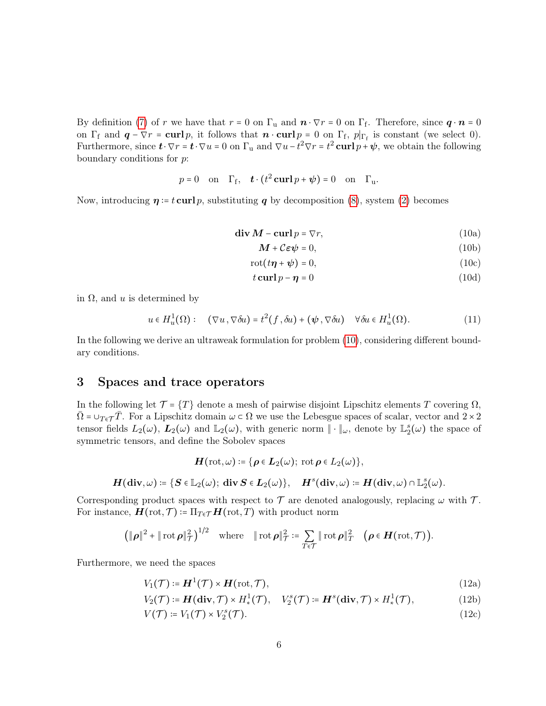By definition [\(7\)](#page-4-2) of r we have that  $r = 0$  on  $\Gamma_u$  and  $\mathbf{n} \cdot \nabla r = 0$  on  $\Gamma_f$ . Therefore, since  $\mathbf{q} \cdot \mathbf{n} = 0$ on  $\Gamma_f$  and  $\mathbf{q} - \nabla r = \mathbf{curl} p$ , it follows that  $\mathbf{n} \cdot \mathbf{curl} p = 0$  on  $\Gamma_f$ ,  $p|_{\Gamma_f}$  is constant (we select 0). Furthermore, since  $\mathbf{t} \cdot \nabla r = \mathbf{t} \cdot \nabla u = 0$  on  $\Gamma_u$  and  $\nabla u - t^2 \nabla r = t^2 \mathbf{curl} p + \psi$ , we obtain the following boundary conditions for p:

$$
p = 0
$$
 on  $\Gamma_f$ ,  $\mathbf{t} \cdot (t^2 \mathbf{curl} \, p + \psi) = 0$  on  $\Gamma_u$ .

<span id="page-5-0"></span>Now, introducing  $\eta = t \text{ curl } p$ , substituting q by decomposition [\(8\)](#page-4-3), system [\(2\)](#page-3-0) becomes

$$
\mathbf{div}\,\mathbf{M} - \mathbf{curl}\,p = \nabla r,\tag{10a}
$$

<span id="page-5-5"></span><span id="page-5-4"></span><span id="page-5-3"></span><span id="page-5-2"></span>
$$
\mathbf{M} + \mathcal{C}\boldsymbol{\varepsilon}\boldsymbol{\psi} = 0,\tag{10b}
$$

$$
rot(t\boldsymbol{\eta}+\boldsymbol{\psi})=0,
$$
\n(10c)

<span id="page-5-6"></span>
$$
t \operatorname{curl} p - \eta = 0 \tag{10d}
$$

in  $\Omega$ , and u is determined by

$$
u \in H_u^1(\Omega): \quad (\nabla u, \nabla \delta u) = t^2(f, \delta u) + (\psi, \nabla \delta u) \quad \forall \delta u \in H_u^1(\Omega). \tag{11}
$$

In the following we derive an ultraweak formulation for problem [\(10\)](#page-5-0), considering different boundary conditions.

# <span id="page-5-7"></span>3 Spaces and trace operators

In the following let  $\mathcal{T} = \{T\}$  denote a mesh of pairwise disjoint Lipschitz elements T covering  $\Omega$ ,  $\overline{\Omega}$  =  $\cup_{T\in\mathcal{T}}\overline{T}$ . For a Lipschitz domain  $\omega\subset\Omega$  we use the Lebesgue spaces of scalar, vector and  $2\times 2$ tensor fields  $L_2(\omega)$ ,  $\mathbf{L}_2(\omega)$  and  $\mathbb{L}_2(\omega)$ , with generic norm  $\|\cdot\|_{\omega}$ , denote by  $\mathbb{L}_2^s(\omega)$  the space of symmetric tensors, and define the Sobolev spaces

$$
\boldsymbol{H}(\text{rot},\omega)\coloneqq\{\boldsymbol{\rho}\in\boldsymbol{L}_2(\omega);\;\text{rot}\,\boldsymbol{\rho}\in L_2(\omega)\},
$$

$$
\boldsymbol H({\rm\bf div},\omega)\coloneqq\{\boldsymbol S\in\mathbb{L}_2(\omega);\ {\rm\bf div}\,\boldsymbol S\in\boldsymbol L_2(\omega)\},\quad \boldsymbol H^s({\rm\bf div},\omega)\coloneqq\boldsymbol H({\rm\bf div},\omega)\cap\mathbb{L}_2^s(\omega).
$$

Corresponding product spaces with respect to  $\mathcal T$  are denoted analogously, replacing  $\omega$  with  $\mathcal T$ . For instance,  $\boldsymbol{H}(\text{rot}, \mathcal{T}) \coloneqq \Pi_{T \in \mathcal{T}} \boldsymbol{H}(\text{rot}, T)$  with product norm

$$
\left(\|\boldsymbol{\rho}\|^2 + \|\operatorname{rot} \boldsymbol{\rho}\|_{\mathcal{T}}^2\right)^{1/2} \quad \text{where} \quad \|\operatorname{rot} \boldsymbol{\rho}\|_{\mathcal{T}}^2 \coloneqq \sum_{T \in \mathcal{T}} \|\operatorname{rot} \boldsymbol{\rho}\|_T^2 \quad \big(\boldsymbol{\rho} \in \boldsymbol{H}(\operatorname{rot}, \mathcal{T})\big).
$$

Furthermore, we need the spaces

<span id="page-5-1"></span>
$$
V_1(\mathcal{T}) \coloneqq H^1(\mathcal{T}) \times H(\text{rot}, \mathcal{T}), \tag{12a}
$$

$$
V_2(\mathcal{T}) \coloneqq \mathbf{H}(\mathbf{div}, \mathcal{T}) \times H^1_*(\mathcal{T}), \quad V_2^s(\mathcal{T}) \coloneqq \mathbf{H}^s(\mathbf{div}, \mathcal{T}) \times H^1_*(\mathcal{T}), \tag{12b}
$$

$$
V(\mathcal{T}) \coloneqq V_1(\mathcal{T}) \times V_2^s(\mathcal{T}). \tag{12c}
$$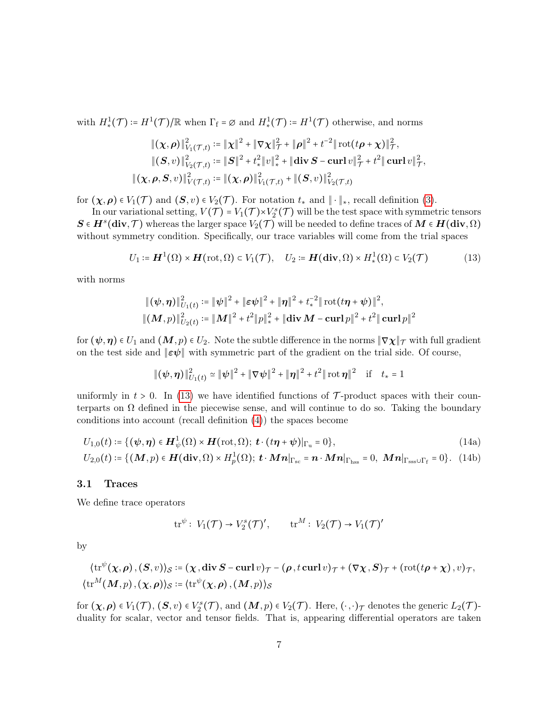with  $H^1_*(\mathcal{T}) \coloneqq H^1(\mathcal{T})/\mathbb{R}$  when  $\Gamma_f = \emptyset$  and  $H^1_*(\mathcal{T}) \coloneqq H^1(\mathcal{T})$  otherwise, and norms

$$
\begin{aligned} \|(\chi,\rho)\|_{V_1(\mathcal{T},t)}^2 &:= \|\chi\|^2 + \|\nabla\chi\|_{\mathcal{T}}^2 + \|\rho\|^2 + t^{-2} \|\operatorname{rot}(t\rho + \chi)\|_{\mathcal{T}}^2, \\ \|(\mathcal{S},v)\|_{V_2(\mathcal{T},t)}^2 &:= \|\mathcal{S}\|^2 + t_*^2 \|v\|_{*}^2 + \|\operatorname{div}\mathcal{S} - \operatorname{curl} v\|_{\mathcal{T}}^2 + t^2 \|\operatorname{curl} v\|_{\mathcal{T}}^2, \\ \|(\chi,\rho,\mathcal{S},v)\|_{V(\mathcal{T},t)}^2 &:= \|(\chi,\rho)\|_{V_1(\mathcal{T},t)}^2 + \|(\mathcal{S},v)\|_{V_2(\mathcal{T},t)}^2 \end{aligned}
$$

for  $(\chi, \rho) \in V_1(\mathcal{T})$  and  $(\mathcal{S}, v) \in V_2(\mathcal{T})$ . For notation  $t_*$  and  $\|\cdot\|_*,$  recall definition [\(3\)](#page-3-1).

In our variational setting,  $V(\mathcal{T}) = V_1(\mathcal{T}) \times V_2^s(\mathcal{T})$  will be the test space with symmetric tensors  $S \in H^s(\text{div}, \mathcal{T})$  whereas the larger space  $V_2(\mathcal{T})$  will be needed to define traces of  $M \in H(\text{div}, \Omega)$ without symmetry condition. Specifically, our trace variables will come from the trial spaces

$$
U_1 := \boldsymbol{H}^1(\Omega) \times \boldsymbol{H}(\text{rot}, \Omega) \subset V_1(\mathcal{T}), \quad U_2 := \boldsymbol{H}(\text{div}, \Omega) \times H^1_*(\Omega) \subset V_2(\mathcal{T})
$$
(13)

with norms

<span id="page-6-1"></span>
$$
\begin{aligned} &\|(\psi,\boldsymbol{\eta})\|^2_{U_1(t)} \coloneqq \|\psi\|^2 + \|\boldsymbol{\varepsilon}\psi\|^2 + \|\boldsymbol{\eta}\|^2 + t_*^{-2} \|\operatorname{rot}(t\boldsymbol{\eta}+\psi)\|^2, \\ &\|(\boldsymbol{M},p)\|^2_{U_2(t)} \coloneqq \|\boldsymbol{M}\|^2 + t^2 \|p\|^2_* + \|\operatorname{div}\boldsymbol{M} - \operatorname{curl} p\|^2 + t^2 \|\operatorname{curl} p\|^2 \end{aligned}
$$

for  $(\psi, \eta) \in U_1$  and  $(M, p) \in U_2$ . Note the subtle difference in the norms  $\|\nabla \chi\|_{\mathcal{T}}$  with full gradient on the test side and  $\|\epsilon \psi\|$  with symmetric part of the gradient on the trial side. Of course,

<span id="page-6-2"></span>
$$
\|(\psi,\eta)\|_{U_1(t)}^2 \simeq \|\psi\|^2 + \|\nabla\psi\|^2 + \|\eta\|^2 + t^2 \|\cot\eta\|^2 \quad \text{if} \quad t_* = 1
$$

uniformly in  $t > 0$ . In [\(13\)](#page-6-1) we have identified functions of T-product spaces with their counterparts on  $\Omega$  defined in the piecewise sense, and will continue to do so. Taking the boundary conditions into account (recall definition [\(4\)](#page-4-4)) the spaces become

$$
U_{1,0}(t) \coloneqq \{(\psi, \eta) \in \mathbf{H}_{\psi}^1(\Omega) \times \mathbf{H}(\mathrm{rot}, \Omega); \ t \cdot (t\eta + \psi)|_{\Gamma_{\mathrm{u}}}=0\},\tag{14a}
$$

$$
U_{2,0}(t) \coloneqq \{(\boldsymbol{M}, p) \in \boldsymbol{H}(\textbf{div}, \Omega) \times H_p^1(\Omega); \ \boldsymbol{t} \cdot \boldsymbol{M} \boldsymbol{n}|_{\Gamma_{\text{sc}}} = \boldsymbol{n} \cdot \boldsymbol{M} \boldsymbol{n}|_{\Gamma_{\text{hss}}} = 0, \ \boldsymbol{M} \boldsymbol{n}|_{\Gamma_{\text{sss}} \cup \Gamma_{\text{f}}} = 0\}. \tag{14b}
$$

## <span id="page-6-0"></span>3.1 Traces

We define trace operators

$$
\mathrm{tr}^{\psi}:\, V_1(\mathcal{T}) \to V_2^s(\mathcal{T})', \qquad \mathrm{tr}^M:\, V_2(\mathcal{T}) \to V_1(\mathcal{T})'
$$

by

$$
\langle \operatorname{tr}^{\psi}(\chi, \rho), (S, v) \rangle_{\mathcal{S}} \coloneqq (\chi, \operatorname{div} S - \operatorname{curl} v)_{\mathcal{T}} - (\rho, t \operatorname{curl} v)_{\mathcal{T}} + (\nabla \chi, S)_{\mathcal{T}} + (\operatorname{rot}(t\rho + \chi), v)_{\mathcal{T}},
$$
  

$$
\langle \operatorname{tr}^M(M, p), (\chi, \rho) \rangle_{\mathcal{S}} \coloneqq \langle \operatorname{tr}^{\psi}(\chi, \rho), (M, p) \rangle_{\mathcal{S}}
$$

for  $(\chi,\rho) \in V_1(\mathcal{T})$ ,  $(\mathbf{S},v) \in V_2^s(\mathcal{T})$ , and  $(\mathbf{M},p) \in V_2(\mathcal{T})$ . Here,  $(\cdot,\cdot)_{\mathcal{T}}$  denotes the generic  $L_2(\mathcal{T})$ duality for scalar, vector and tensor fields. That is, appearing differential operators are taken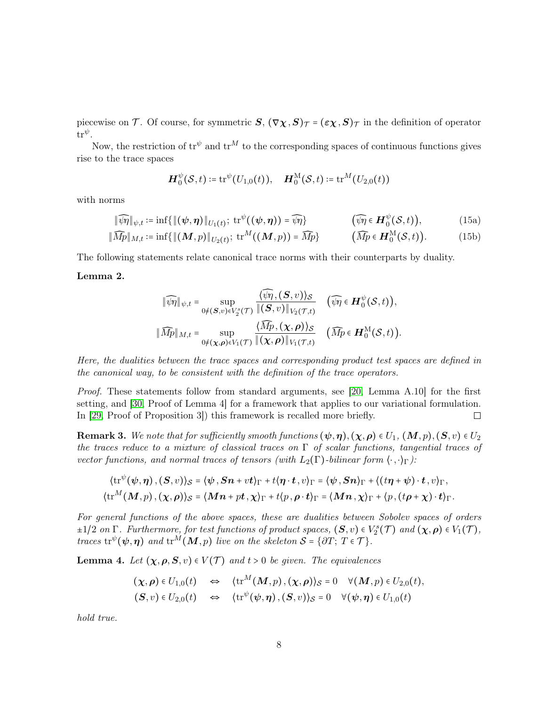piecewise on T. Of course, for symmetric  $S$ ,  $(\nabla \chi, S)_{\mathcal{T}} = (\varepsilon \chi, S)_{\mathcal{T}}$  in the definition of operator  $\mathrm{tr}^{\psi}.$ 

Now, the restriction of  $tr^{\psi}$  and  $tr^M$  to the corresponding spaces of continuous functions gives rise to the trace spaces

$$
\boldsymbol{H}_0^{\psi}(\mathcal{S},t) \coloneqq \mathrm{tr}^{\psi}(U_{1,0}(t)), \quad \boldsymbol{H}_0^{\mathrm{M}}(\mathcal{S},t) \coloneqq \mathrm{tr}^M(U_{2,0}(t))
$$

with norms

<span id="page-7-3"></span>
$$
\|\widehat{\mathcal{W}}\|_{\psi,t} := \inf \{ \|(\psi,\eta)\|_{U_1(t)}; \operatorname{tr}^{\psi}((\psi,\eta)) = \widehat{\mathcal{W}} \} \qquad (\widehat{\mathcal{W}} \in H_0^{\psi}(\mathcal{S},t)),
$$
\n
$$
\|\widehat{Mp}\|_{M,t} := \inf \{ \|(\mathbf{M},p)\|_{U_2(t)}; \operatorname{tr}^M((\mathbf{M},p)) = \widehat{Mp} \} \qquad (\widehat{Mp} \in H_0^{\mathcal{M}}(\mathcal{S},t)).
$$
\n(15b)

The following statements relate canonical trace norms with their counterparts by duality.

## <span id="page-7-2"></span>Lemma 2.

$$
\|\widehat{\psi}\eta\|_{\psi,t} = \sup_{0 \neq (\mathbf{S},v) \in V_2^s(\mathcal{T})} \frac{\langle \widehat{\psi}\eta, (\mathbf{S},v)\rangle_{\mathcal{S}}}{\|(\mathbf{S},v)\|_{V_2(\mathcal{T},t)}} \quad (\widehat{\psi}\eta \in \mathbf{H}_0^{\psi}(\mathcal{S},t)),
$$
  

$$
\|\widehat{Mp}\|_{M,t} = \sup_{0 \neq (\mathbf{x},\boldsymbol{\rho}) \in V_1(\mathcal{T})} \frac{\langle \widehat{Mp}, (\mathbf{x},\boldsymbol{\rho}) \rangle_{\mathcal{S}}}{\|(\mathbf{x},\boldsymbol{\rho})\|_{V_1(\mathcal{T},t)}} \quad (\widehat{Mp} \in \mathbf{H}_0^{\text{M}}(\mathcal{S},t)).
$$

Here, the dualities between the trace spaces and corresponding product test spaces are defined in the canonical way, to be consistent with the definition of the trace operators.

Proof. These statements follow from standard arguments, see [\[20,](#page-24-13) Lemma A.10] for the first setting, and [\[30,](#page-25-4) Proof of Lemma 4] for a framework that applies to our variational formulation. In [\[29,](#page-25-5) Proof of Proposition 3]) this framework is recalled more briefly.  $\Box$ 

<span id="page-7-0"></span>**Remark 3.** We note that for sufficiently smooth functions  $(\psi, \eta), (\chi, \rho) \in U_1$ ,  $(M, p), (S, v) \in U_2$ the traces reduce to a mixture of classical traces on  $\Gamma$  of scalar functions, tangential traces of vector functions, and normal traces of tensors (with  $L_2(\Gamma)$ -bilinear form  $\langle \cdot, \cdot \rangle_{\Gamma}$ ):

$$
\langle \operatorname{tr}^{\psi}(\psi,\eta), (S,v)\rangle_{\mathcal{S}} = \langle \psi, Sn + vt \rangle_{\Gamma} + t \langle \eta \cdot t, v \rangle_{\Gamma} = \langle \psi, Sn \rangle_{\Gamma} + \langle (t\eta + \psi) \cdot t, v \rangle_{\Gamma},
$$
  

$$
\langle \operatorname{tr}^M(M,p), (\chi,\rho) \rangle_{\mathcal{S}} = \langle Mn + pt, \chi \rangle_{\Gamma} + t \langle p, \rho \cdot t \rangle_{\Gamma} = \langle Mn, \chi \rangle_{\Gamma} + \langle p, (t\rho + \chi) \cdot t \rangle_{\Gamma}.
$$

For general functions of the above spaces, these are dualities between Sobolev spaces of orders  $\pm 1/2$  on  $\Gamma$ . Furthermore, for test functions of product spaces,  $(\mathbf{S}, v) \in V_2^s(\mathcal{T})$  and  $(\chi, \rho) \in V_1(\mathcal{T})$ , traces  $\text{tr}^{\psi}(\psi, \eta)$  and  $\text{tr}^{M}(M, p)$  live on the skeleton  $S = \{ \partial T; T \in \mathcal{T} \}.$ 

<span id="page-7-1"></span>**Lemma 4.** Let  $(\chi, \rho, S, v) \in V(\mathcal{T})$  and  $t > 0$  be given. The equivalences

$$
(\chi, \rho) \in U_{1,0}(t) \quad \Leftrightarrow \quad \langle \text{tr}^M(M, p), (\chi, \rho) \rangle_{\mathcal{S}} = 0 \quad \forall (M, p) \in U_{2,0}(t),
$$
  

$$
(\mathbf{S}, v) \in U_{2,0}(t) \quad \Leftrightarrow \quad \langle \text{tr}^{\psi}(\psi, \eta), (\mathbf{S}, v) \rangle_{\mathcal{S}} = 0 \quad \forall (\psi, \eta) \in U_{1,0}(t)
$$

hold true.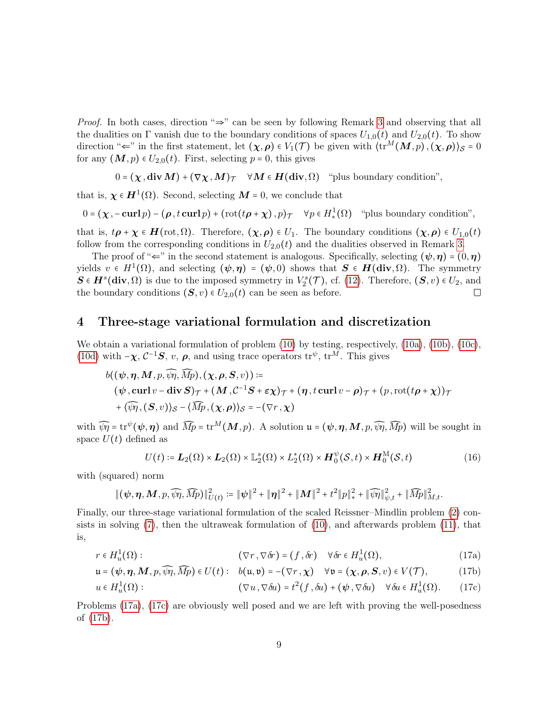Proof. In both cases, direction "⇒" can be seen by following Remark [3](#page-7-0) and observing that all the dualities on  $\Gamma$  vanish due to the boundary conditions of spaces  $U_{1,0}(t)$  and  $U_{2,0}(t)$ . To show direction " $\Leftarrow$ " in the first statement, let  $(\chi,\rho) \in V_1(\mathcal{T})$  be given with  $\langle \text{tr}^M(M,p), (\chi,\rho) \rangle_{\mathcal{S}} = 0$ for any  $(M, p) \in U_{2,0}(t)$ . First, selecting  $p = 0$ , this gives

$$
0 = (\chi, \text{div } M) + (\nabla \chi, M)_{\mathcal{T}} \quad \forall M \in H(\text{div}, \Omega) \quad \text{``plus boundary condition''},
$$

that is,  $\chi \in H^1(\Omega)$ . Second, selecting  $M = 0$ , we conclude that

$$
0 = (\chi, -\operatorname{curl} p) - (\rho, t \operatorname{curl} p) + (\operatorname{rot}(t \rho + \chi), p) \tau \quad \forall p \in H^1_*(\Omega) \quad \text{``plus boundary condition''},
$$

that is,  $t\mathbf{p} + \mathbf{\chi} \in \mathbf{H}(\text{rot}, \Omega)$ . Therefore,  $(\mathbf{\chi}, \mathbf{\rho}) \in U_1$ . The boundary conditions  $(\mathbf{\chi}, \mathbf{\rho}) \in U_{1,0}(t)$ follow from the corresponding conditions in  $U_{2,0}(t)$  and the dualities observed in Remark [3.](#page-7-0)

The proof of " $\Leftarrow$ " in the second statement is analogous. Specifically, selecting  $(\psi, \eta) = (0, \eta)$ yields  $v \in H^1(\Omega)$ , and selecting  $(\psi, \eta) = (\psi, 0)$  shows that  $S \in H(\text{div}, \Omega)$ . The symmetry  $S \in H^s(\text{div}, \Omega)$  is due to the imposed symmetry in  $V_2^s(\mathcal{T})$ , cf. [\(12\)](#page-5-1). Therefore,  $(S, v) \in U_2$ , and the boundary conditions  $(S, v) \in U_{2,0}(t)$  can be seen as before.

# <span id="page-8-0"></span>4 Three-stage variational formulation and discretization

We obtain a variational formulation of problem  $(10)$  by testing, respectively,  $(10a)$ ,  $(10b)$ ,  $(10c)$ , [\(10d\)](#page-5-5) with  $-\chi$ ,  $C^{-1}S$ , v,  $\rho$ , and using trace operators  $\text{tr}^{\psi}$ ,  $\text{tr}^M$ . This gives

$$
b((\psi, \eta, M, p, \overline{\psi_1}, \overline{Mp}), (\chi, \rho, S, v)) \coloneqq (\psi, \operatorname{curl} v - \operatorname{div} S)_{\mathcal{T}} + (M, \mathcal{C}^{-1}S + \varepsilon \chi)_{\mathcal{T}} + (\eta, t \operatorname{curl} v - \rho)_{\mathcal{T}} + (p, \operatorname{rot}(t\rho + \chi))_{\mathcal{T}} + \langle \overline{\psi_1}, (S, v) \rangle_{\mathcal{S}} - \langle \overline{Mp}, (\chi, \rho) \rangle_{\mathcal{S}} = -(\nabla r, \chi)
$$

with  $\widehat{\psi\eta} = \text{tr}^{\psi}(\psi, \eta)$  and  $\widehat{Mp} = \text{tr}^M(M, p)$ . A solution  $\mathfrak{u} = (\psi, \eta, M, p, \widehat{\psi\eta}, \widehat{Mp})$  will be sought in space  $U(t)$  defined as

<span id="page-8-5"></span><span id="page-8-3"></span><span id="page-8-2"></span><span id="page-8-1"></span>
$$
U(t) \coloneqq \mathbf{L}_2(\Omega) \times \mathbf{L}_2(\Omega) \times \mathbb{L}_2^s(\Omega) \times L_2^*(\Omega) \times \mathbf{H}_0^{\psi}(\mathcal{S}, t) \times \mathbf{H}_0^{\mathcal{M}}(\mathcal{S}, t)
$$
(16)

with (squared) norm

$$
\|(\psi,\bm{\eta},\bm{M},p,\widehat{\psi\eta},\widehat{Mp})\|_{U(t)}^2\coloneqq \|\psi\|^2+\|\bm{\eta}\|^2+\|\bm{M}\|^2+t^2\|p\|_*^2+\|\widehat{\psi\eta}\|_{\psi,t}^2+\|\widehat{Mp}\|_{M,t}^2.
$$

<span id="page-8-4"></span>Finally, our three-stage variational formulation of the scaled Reissner–Mindlin problem [\(2\)](#page-3-0) consists in solving  $(7)$ , then the ultraweak formulation of  $(10)$ , and afterwards problem  $(11)$ , that is,

$$
r \in H_u^1(\Omega): \qquad (\nabla r, \nabla \delta r) = (f, \delta r) \quad \forall \delta r \in H_u^1(\Omega), \qquad (17a)
$$

$$
\mathfrak{u} = (\psi, \eta, M, p, \widehat{\psi\eta}, \widehat{Mp}) \in U(t): \quad b(\mathfrak{u}, \mathfrak{v}) = -(\nabla r, \chi) \quad \forall \mathfrak{v} = (\chi, \rho, S, v) \in V(\mathcal{T}), \tag{17b}
$$

$$
u \in H_u^1(\Omega): \qquad (\nabla u, \nabla \delta u) = t^2(f, \delta u) + (\psi, \nabla \delta u) \quad \forall \delta u \in H_u^1(\Omega). \qquad (17c)
$$

Problems [\(17a\)](#page-8-1), [\(17c\)](#page-8-2) are obviously well posed and we are left with proving the well-posedness of [\(17b\)](#page-8-3).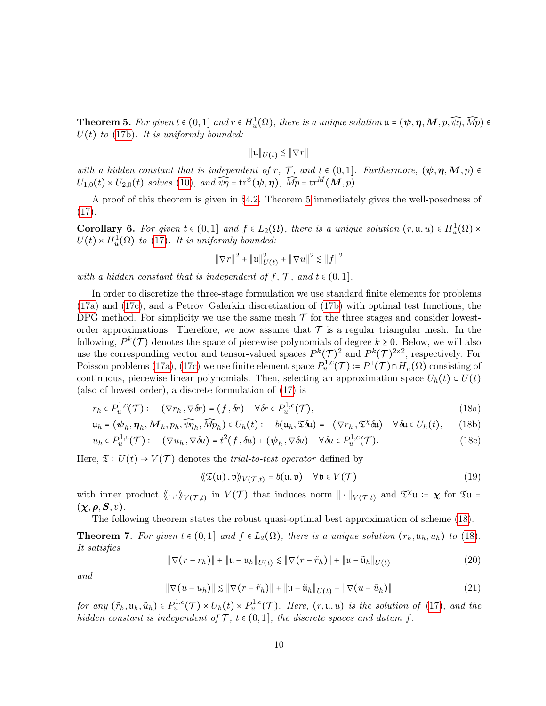<span id="page-9-0"></span>**Theorem 5.** For given  $t \in (0,1]$  and  $r \in H_u^1(\Omega)$ , there is a unique solution  $\mathfrak{u} = (\psi, \eta, M, p, \widehat{\psi_1}, \widehat{Mp}) \in$  $U(t)$  to [\(17b\)](#page-8-3). It is uniformly bounded:

$$
\|\mathfrak{u}\|_{U(t)} \lesssim \|\nabla r\|
$$

with a hidden constant that is independent of r,  $\mathcal{T}$ , and  $t \in (0,1]$ . Furthermore,  $(\psi, \eta, M, p) \in$  $U_{1,0}(t) \times U_{2,0}(t)$  solves [\(10\)](#page-5-0), and  $\widehat{\psi\eta} = \text{tr}^{\psi}(\psi, \eta)$ ,  $\widehat{Mp} = \text{tr}^M(M, p)$ .

A proof of this theorem is given in [§4.2.](#page-11-0) Theorem [5](#page-9-0) immediately gives the well-posedness of  $(17).$  $(17).$ 

<span id="page-9-1"></span>**Corollary 6.** For given  $t \in (0,1]$  and  $f \in L_2(\Omega)$ , there is a unique solution  $(r, \mathfrak{u}, u) \in H_u^1(\Omega) \times$  $U(t) \times H_u^1(\Omega)$  to [\(17\)](#page-8-4). It is uniformly bounded:

$$
\|\nabla r\|^2 + \|\mathfrak{u}\|_{U(t)}^2 + \|\nabla u\|^2 \lesssim \|f\|^2
$$

with a hidden constant that is independent of f,  $\mathcal{T}$ , and  $t \in (0,1]$ .

In order to discretize the three-stage formulation we use standard finite elements for problems [\(17a\)](#page-8-1) and [\(17c\)](#page-8-2), and a Petrov–Galerkin discretization of [\(17b\)](#page-8-3) with optimal test functions, the DPG method. For simplicity we use the same mesh  $\mathcal T$  for the three stages and consider lowestorder approximations. Therefore, we now assume that  $\mathcal T$  is a regular triangular mesh. In the following,  $P^k(\mathcal{T})$  denotes the space of piecewise polynomials of degree  $k \geq 0$ . Below, we will also use the corresponding vector and tensor-valued spaces  $P^k(\mathcal{T})^2$  and  $P^k(\mathcal{T})^{2\times 2}$ , respectively. For Poisson problems [\(17a\)](#page-8-1), [\(17c\)](#page-8-2) we use finite element space  $P_u^{1,c}(\mathcal{T}) = P^1(\mathcal{T}) \cap H_u^1(\Omega)$  consisting of continuous, piecewise linear polynomials. Then, selecting an approximation space  $U_h(t) \subset U(t)$ (also of lowest order), a discrete formulation of [\(17\)](#page-8-4) is

$$
r_h \in P_u^{1,c}(\mathcal{T}): \quad (\nabla r_h, \nabla \delta r) = (f, \delta r) \quad \forall \delta r \in P_u^{1,c}(\mathcal{T}), \tag{18a}
$$

$$
\mathfrak{u}_h = (\psi_h, \eta_h, M_h, p_h, \widehat{\psi}\eta_h, \widehat{Mp}_h) \in U_h(t): \quad b(\mathfrak{u}_h, \mathfrak{Tou}) = -(\nabla r_h, \mathfrak{T}^\chi \delta \mathfrak{u}) \quad \forall \delta \mathfrak{u} \in U_h(t), \qquad (18b)
$$

$$
u_h \in P_u^{1,c}(\mathcal{T}): \quad (\nabla u_h, \nabla \delta u) = t^2(f, \delta u) + (\psi_h, \nabla \delta u) \quad \forall \delta u \in P_u^{1,c}(\mathcal{T}). \tag{18c}
$$

Here,  $\mathfrak{T}: U(t) \to V(\mathcal{T})$  denotes the *trial-to-test operator* defined by

<span id="page-9-8"></span><span id="page-9-6"></span><span id="page-9-5"></span><span id="page-9-4"></span><span id="page-9-3"></span>
$$
\langle \langle \mathfrak{T}(\mathfrak{u}), \mathfrak{v} \rangle \rangle_{V(\mathcal{T},t)} = b(\mathfrak{u}, \mathfrak{v}) \quad \forall \mathfrak{v} \in V(\mathcal{T}) \tag{19}
$$

with inner product  $\langle\!\langle \cdot, \cdot \rangle\!\rangle_{V(\mathcal{T},t)}$  in  $V(\mathcal{T})$  that induces norm  $\|\cdot\|_{V(\mathcal{T},t)}$  and  $\mathfrak{T}^{\chi}u := \chi$  for  $\mathfrak{T}u =$  $(\chi,\rho,S,v).$ 

The following theorem states the robust quasi-optimal best approximation of scheme [\(18\)](#page-9-3).

<span id="page-9-2"></span>**Theorem 7.** For given  $t \in (0,1]$  and  $f \in L_2(\Omega)$ , there is a unique solution  $(r_h, \mathfrak{u}_h, u_h)$  to [\(18\)](#page-9-3). It satisfies

<span id="page-9-7"></span>
$$
\|\nabla(r - r_h)\| + \|u - u_h\|_{U(t)} \lesssim \|\nabla(r - \tilde{r}_h)\| + \|u - \tilde{u}_h\|_{U(t)}
$$
\n(20)

and

<span id="page-9-9"></span>
$$
\|\nabla(u - u_h)\| \lesssim \|\nabla(r - \tilde{r}_h)\| + \|u - \tilde{u}_h\|_{U(t)} + \|\nabla(u - \tilde{u}_h)\| \tag{21}
$$

for any  $(\tilde{r}_h, \tilde{u}_h, \tilde{u}_h) \in P_u^{1,c}(\mathcal{T}) \times U_h(t) \times P_u^{1,c}(\mathcal{T})$ . Here,  $(r, u, u)$  is the solution of [\(17\)](#page-8-4), and the hidden constant is independent of  $\mathcal{T}, t \in (0,1]$ , the discrete spaces and datum f.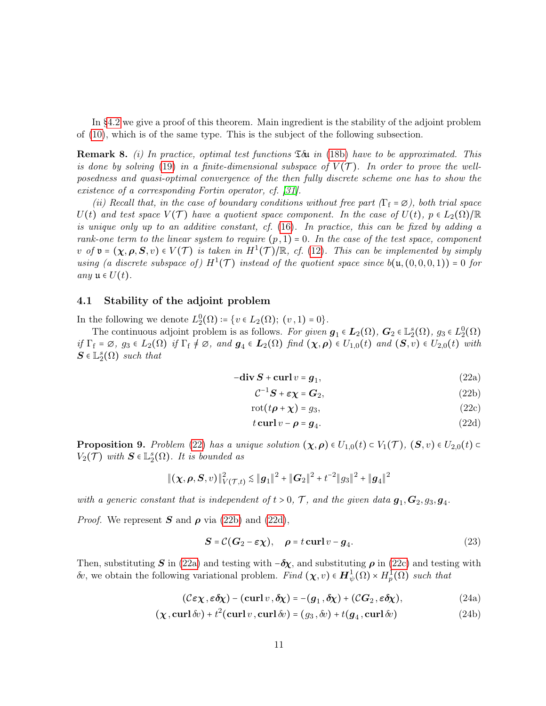In [§4.2](#page-11-0) we give a proof of this theorem. Main ingredient is the stability of the adjoint problem of [\(10\)](#page-5-0), which is of the same type. This is the subject of the following subsection.

<span id="page-10-10"></span>**Remark 8.** (i) In practice, optimal test functions  $\mathfrak{T} \delta \mathfrak{u}$  in [\(18b\)](#page-9-4) have to be approximated. This is done by solving [\(19\)](#page-9-5) in a finite-dimensional subspace of  $V(\mathcal{T})$ . In order to prove the wellposedness and quasi-optimal convergence of the then fully discrete scheme one has to show the existence of a corresponding Fortin operator, cf. [\[31\]](#page-25-6).

(ii) Recall that, in the case of boundary conditions without free part  $(\Gamma_f = \emptyset)$ , both trial space  $U(t)$  and test space  $V(\mathcal{T})$  have a quotient space component. In the case of  $U(t)$ ,  $p \in L_2(\Omega)/\mathbb{R}$ is unique only up to an additive constant, cf. [\(16\)](#page-8-5). In practice, this can be fixed by adding a rank-one term to the linear system to require  $(p, 1) = 0$ . In the case of the test space, component  $v$  of  $\mathfrak{v} = (\chi, \rho, S, v) \in V(\mathcal{T})$  is taken in  $H^1(\mathcal{T})/\mathbb{R}$ , cf. [\(12\)](#page-5-1). This can be implemented by simply using (a discrete subspace of)  $H^1(\mathcal{T})$  instead of the quotient space since  $b(\mathfrak{u}, (0,0,0,1)) = 0$  for any  $\mathfrak{u} \in U(t)$ .

### <span id="page-10-0"></span>4.1 Stability of the adjoint problem

In the following we denote  $L_2^0(\Omega) = \{v \in L_2(\Omega); (v, 1) = 0\}.$ 

The continuous adjoint problem is as follows. For given  $g_1 \in L_2(\Omega)$ ,  $G_2 \in L_2^s(\Omega)$ ,  $g_3 \in L_2^0(\Omega)$ if  $\Gamma_f = \emptyset$ ,  $g_3 \in L_2(\Omega)$  if  $\Gamma_f \neq \emptyset$ , and  $g_4 \in L_2(\Omega)$  find  $(\chi, \rho) \in U_{1,0}(t)$  and  $(S, v) \in U_{2,0}(t)$  with  $S \in \mathbb{L}_{2}^{s}(\Omega)$  such that

<span id="page-10-1"></span>
$$
-\textbf{div}\,\boldsymbol{S} + \textbf{curl}\,v = \boldsymbol{g}_1,\tag{22a}
$$

<span id="page-10-5"></span><span id="page-10-4"></span><span id="page-10-3"></span><span id="page-10-2"></span>
$$
\mathcal{C}^{-1}\mathbf{S} + \varepsilon \mathbf{\chi} = \mathbf{G}_2,\tag{22b}
$$

$$
rot(t\boldsymbol{\rho} + \boldsymbol{\chi}) = g_3,\tag{22c}
$$

<span id="page-10-8"></span><span id="page-10-6"></span>
$$
t \operatorname{curl} v - \rho = g_4. \tag{22d}
$$

<span id="page-10-9"></span>**Proposition 9.** Problem [\(22\)](#page-10-1) has a unique solution  $(\chi, \rho) \in U_{1,0}(t) \subset V_1(\mathcal{T})$ ,  $(\mathcal{S}, v) \in U_{2,0}(t) \subset V_1(\mathcal{T})$  $V_2(\mathcal{T})$  with  $S \in \mathbb{L}_2^s(\Omega)$ . It is bounded as

$$
\|(\boldsymbol{\chi},\boldsymbol{\rho},\boldsymbol{S},v)\|_{V(\mathcal{T},t)}^2 \lesssim \|\boldsymbol{g}_1\|^2 + \|\boldsymbol{G}_2\|^2 + t^{-2} \|g_3\|^2 + \|\boldsymbol{g}_4\|^2
$$

with a generic constant that is independent of  $t > 0$ , T, and the given data  $g_1, G_2, g_3, g_4$ .

*Proof.* We represent  $S$  and  $\rho$  via [\(22b\)](#page-10-2) and [\(22d\)](#page-10-3),

<span id="page-10-7"></span>
$$
S = C(G_2 - \varepsilon \chi), \quad \rho = t \operatorname{curl} v - g_4. \tag{23}
$$

Then, substituting S in [\(22a\)](#page-10-4) and testing with  $-\delta\chi$ , and substituting  $\rho$  in [\(22c\)](#page-10-5) and testing with δv, we obtain the following variational problem. Find  $(χ, v) \in H^1_\psi(\Omega) \times H^1_p(\Omega)$  such that

$$
(\mathcal{C}\varepsilon\chi,\varepsilon\delta\chi) - (\operatorname{curl}v,\delta\chi) = -(g_1,\delta\chi) + (\mathcal{C}G_2,\varepsilon\delta\chi), \tag{24a}
$$

$$
(\chi, \operatorname{curl} \delta v) + t^2 (\operatorname{curl} v, \operatorname{curl} \delta v) = (g_3, \delta v) + t(g_4, \operatorname{curl} \delta v)
$$
 (24b)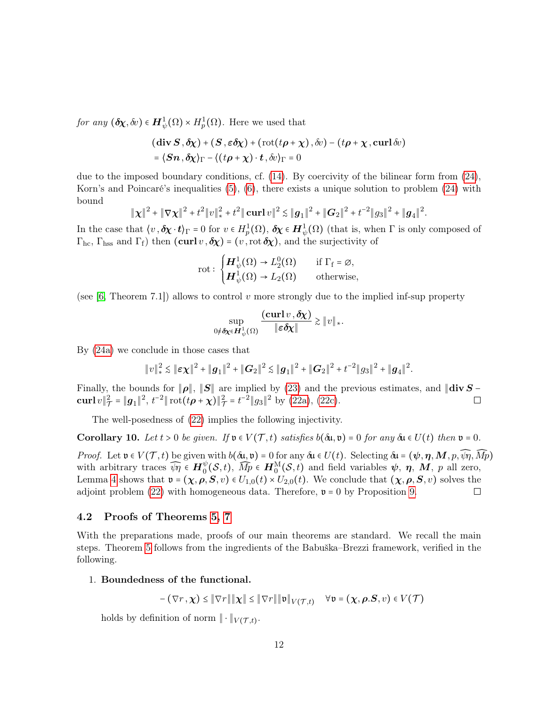for any  $(\delta \chi, \delta v) \in H^1_{\psi}(\Omega) \times H^1_p(\Omega)$ . Here we used that

$$
(\text{div } S, \delta \chi) + (S, \varepsilon \delta \chi) + (\text{rot}(t\rho + \chi), \delta v) - (t\rho + \chi, \text{curl } \delta v)
$$
  
=  $\langle Sn, \delta \chi \rangle_{\Gamma} - \langle (t\rho + \chi) \cdot t, \delta v \rangle_{\Gamma} = 0$ 

due to the imposed boundary conditions, cf. [\(14\)](#page-6-2). By coercivity of the bilinear form from [\(24\)](#page-10-6), Korn's and Poincaré's inequalities [\(5\)](#page-4-0), [\(6\)](#page-4-1), there exists a unique solution to problem [\(24\)](#page-10-6) with bound

$$
\|\chi\|^2 + \|\nabla \chi\|^2 + t^2 \|v\|_{*}^2 + t^2 \|\text{curl}\,v\|^2 \lesssim \|g_1\|^2 + \|G_2\|^2 + t^{-2} \|g_3\|^2 + \|g_4\|^2.
$$

In the case that  $\langle v, \delta \chi \cdot t \rangle_{\Gamma} = 0$  for  $v \in H_p^1(\Omega)$ ,  $\delta \chi \in H^1_{\psi}(\Omega)$  (that is, when  $\Gamma$  is only composed of  $\Gamma_{\text{hc}}, \Gamma_{\text{hss}}$  and  $\Gamma_{\text{f}}$ ) then  $(\text{curl } v, \delta \chi) = (v, \text{rot } \delta \chi)$ , and the surjectivity of

$$
\text{rot}: \begin{cases} \boldsymbol{H}_{\psi}^1(\Omega) \to L_2^0(\Omega) & \text{if } \Gamma_f = \varnothing, \\ \boldsymbol{H}_{\psi}^1(\Omega) \to L_2(\Omega) & \text{otherwise,} \end{cases}
$$

(see [\[6,](#page-23-4) Theorem 7.1]) allows to control v more strongly due to the implied inf-sup property

$$
\sup_{0 \neq \delta \chi \in \mathbf{H}_{\psi}^1(\Omega)} \frac{(\operatorname{curl} v, \delta \chi)}{\|\varepsilon \delta \chi\|} \gtrsim ||v||_*.
$$

By [\(24a\)](#page-10-7) we conclude in those cases that

$$
||v||_*^2 \lesssim ||\boldsymbol{\varepsilon}\chi||^2 + ||\boldsymbol{g}_1||^2 + ||\boldsymbol{G}_2||^2 \lesssim ||\boldsymbol{g}_1||^2 + ||\boldsymbol{G}_2||^2 + t^{-2}||\boldsymbol{g}_3||^2 + ||\boldsymbol{g}_4||^2.
$$

Finally, the bounds for  $||\boldsymbol{\rho}||$ ,  $||\boldsymbol{S}||$  are implied by [\(23\)](#page-10-8) and the previous estimates, and  $||\text{div }\boldsymbol{S} - \text{curl } v||^2 = ||\boldsymbol{q}_1||^2$ ,  $t^{-2}||\text{rot}(t\boldsymbol{\rho} + \boldsymbol{\chi})||^2 = t^{-2}||\boldsymbol{q}_3||^2$  by (22a), (22c).  $\operatorname{curl} v \|_{{\mathcal I}}^2$  $\mathcal{L}_{\mathcal{T}}^2 = ||g_1||^2, t^{-2}||\cot(t\boldsymbol{\rho} + \boldsymbol{\chi})||^2_{\mathcal{T}} = t^{-2}||g_3||^2$  by [\(22a\)](#page-10-4), [\(22c\)](#page-10-5).

The well-posedness of [\(22\)](#page-10-1) implies the following injectivity.

<span id="page-11-1"></span>Corollary 10. Let  $t > 0$  be given. If  $\mathfrak{v} \in V(\mathcal{T}, t)$  satisfies  $b(\delta \mathfrak{u}, \mathfrak{v}) = 0$  for any  $\delta \mathfrak{u} \in U(t)$  then  $\mathfrak{v} = 0$ .

Proof. Let  $\mathfrak{v} \in V(\mathcal{T},t)$  be given with  $b(\delta\mathfrak{u},\mathfrak{v})=0$  for any  $\delta\mathfrak{u} \in U(t)$ . Selecting  $\delta\mathfrak{u} = (\psi,\eta,M,p,\widehat{\psi\eta},\widehat{Mp})$ with arbitrary traces  $\widehat{\psi}\eta \in H_0^{\psi}(\mathcal{S},t)$ ,  $\widehat{Mp} \in H_0^{\mathcal{M}}(\mathcal{S},t)$  and field variables  $\psi$ ,  $\eta$ ,  $\hat{M}$ ,  $p$  all zero, Lemma [4](#page-7-1) shows that  $\mathfrak{v} = (\chi, \rho, S, v) \in U_{1,0}(t) \times U_{2,0}(t)$ . We conclude that  $(\chi, \rho, S, v)$  solves the adjoint problem (22) with homogeneous data. Therefore,  $\mathfrak{v} = 0$  by Proposition 9. adjoint problem  $(22)$  with homogeneous data. Therefore,  $\mathfrak{v} = 0$  by Proposition [9.](#page-10-9)

# <span id="page-11-0"></span>4.2 Proofs of Theorems [5,](#page-9-0) [7](#page-9-2)

With the preparations made, proofs of our main theorems are standard. We recall the main steps. Theorem [5](#page-9-0) follows from the ingredients of the Babuška–Brezzi framework, verified in the following.

### 1. Boundedness of the functional.

$$
-(\nabla r, \chi) \leq \|\nabla r\| \|\chi\| \leq \|\nabla r\| \|\mathfrak{v}\|_{V(\mathcal{T},t)} \quad \forall \mathfrak{v} = (\chi, \rho.S, v) \in V(\mathcal{T})
$$

holds by definition of norm  $\|\cdot\|_{V(\mathcal{T},t)}$ .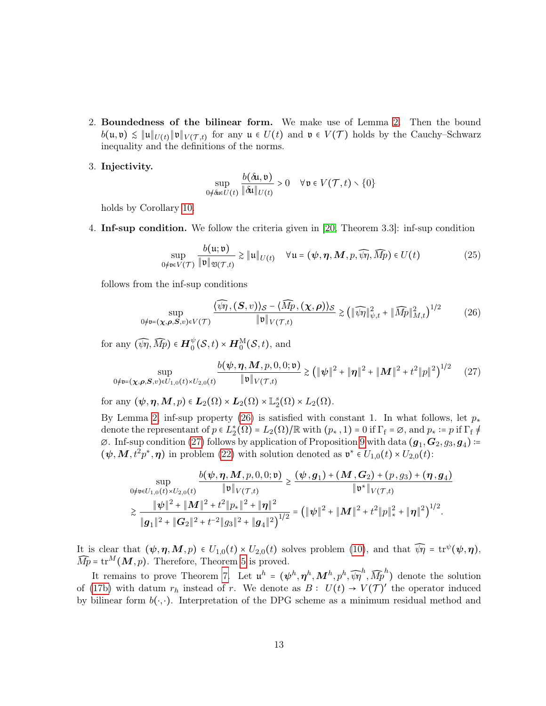2. Boundedness of the bilinear form. We make use of Lemma [2.](#page-7-2) Then the bound  $b(\mathfrak{u},\mathfrak{v}) \leq \|\mathfrak{u}\|_{U(t)} \|\mathfrak{v}\|_{V(\mathcal{T},t)}$  for any  $\mathfrak{u} \in U(t)$  and  $\mathfrak{v} \in V(\mathcal{T})$  holds by the Cauchy–Schwarz inequality and the definitions of the norms.

#### 3. Injectivity.

<span id="page-12-2"></span><span id="page-12-1"></span><span id="page-12-0"></span>
$$
\sup_{0 \neq \delta u \in U(t)} \frac{b(\delta u, \mathfrak{v})}{\|\delta u\|_{U(t)}} > 0 \quad \forall \mathfrak{v} \in V(\mathcal{T}, t) \setminus \{0\}
$$

holds by Corollary [10.](#page-11-1)

4. Inf-sup condition. We follow the criteria given in [\[20,](#page-24-13) Theorem 3.3]: inf-sup condition

$$
\sup_{0 \neq v \in V(\mathcal{T})} \frac{b(u; v)}{\|\mathfrak{v}\|_{\mathfrak{V}(\mathcal{T}, t)}} \gtrsim \| \mathfrak{u} \|_{U(t)} \quad \forall u = (\psi, \eta, M, p, \widehat{\psi}\eta, \widehat{Mp}) \in U(t) \tag{25}
$$

follows from the inf-sup conditions

$$
\sup_{0 \neq \mathfrak{v} = (\boldsymbol{\chi}, \boldsymbol{\rho}, \mathbf{S}, v) \in V(\mathcal{T})} \frac{\langle \widehat{\psi \eta}, (\mathbf{S}, v) \rangle_{\mathcal{S}} - \langle \widehat{Mp}, (\boldsymbol{\chi}, \boldsymbol{\rho}) \rangle_{\mathcal{S}}}{\|\mathfrak{v}\|_{V(\mathcal{T}, t)}} \ge (\|\widehat{\psi \eta}\|_{\psi, t}^2 + \|\widehat{Mp}\|_{M, t}^2)^{1/2} \tag{26}
$$

for any  $(\widehat{\psi\eta}, \widehat{Mp}) \in \boldsymbol{H}^{\psi}_0(\mathcal{S}, t) \times \boldsymbol{H}^{\text{M}}_0(\mathcal{S}, t)$ , and

$$
\sup_{0 \neq \mathfrak{v} = (\boldsymbol{\chi}, \boldsymbol{\rho}, \mathbf{S}, v) \in U_{1,0}(t) \times U_{2,0}(t)} \frac{b(\boldsymbol{\psi}, \boldsymbol{\eta}, \mathbf{M}, p, 0, 0; \mathfrak{v})}{\|\mathfrak{v}\|_{V(\mathcal{T},t)}} \gtrsim \left( \|\boldsymbol{\psi}\|^2 + \|\boldsymbol{\eta}\|^2 + \|\mathbf{M}\|^2 + t^2 \|p\|^2 \right)^{1/2} \tag{27}
$$

for any  $(\psi, \eta, M, p) \in L_2(\Omega) \times L_2(\Omega) \times L_2(\Omega) \times L_2(\Omega)$ .

By Lemma [2,](#page-7-2) inf-sup property [\(26\)](#page-12-0) is satisfied with constant 1. In what follows, let  $p_*$ denote the representant of  $p \in L_2^*(\Omega) = L_2(\Omega)/\mathbb{R}$  with  $(p_*, 1) = 0$  if  $\Gamma_f = \emptyset$ , and  $p_* \coloneqq p$  if  $\Gamma_f \neq$  $\varnothing$ . Inf-sup condition [\(27\)](#page-12-1) follows by application of Proposition [9](#page-10-9) with data  $(g_1, G_2, g_3, g_4)$ :=  $(\psi, M, t^2 p^*, \eta)$  in problem [\(22\)](#page-10-1) with solution denoted as  $\mathfrak{v}^* \in U_{1,0}(t) \times U_{2,0}(t)$ :

$$
\sup_{0 \neq v \in U_{1,0}(t) \times U_{2,0}(t)} \frac{b(\psi, \eta, M, p, 0, 0; v)}{\|\mathfrak{v}\|_{V(\mathcal{T},t)}} \geq \frac{(\psi, g_1) + (M, G_2) + (p, g_3) + (\eta, g_4)}{\|\mathfrak{v}^*\|_{V(\mathcal{T},t)}} \geq \frac{\|\psi\|^2 + \|M\|^2 + t^2 \|p_*\|^2 + \|\eta\|^2}{\|g_1\|^2 + \|G_2\|^2 + t^{-2} \|g_3\|^2 + \|g_4\|^2} = (\|\psi\|^2 + \|M\|^2 + t^2 \|p\|^2 + \|\eta\|^2)^{1/2}.
$$

It is clear that  $(\psi, \eta, M, p) \in U_{1,0}(t) \times U_{2,0}(t)$  solves problem [\(10\)](#page-5-0), and that  $\widehat{\psi\eta} = \text{tr}^{\psi}(\psi, \eta)$ ,  $\widehat{Mp} = \text{tr}^M(M, p)$ . Therefore, Theorem [5](#page-9-0) is proved.

It remains to prove Theorem [7.](#page-9-2) Let  $\mathbf{u}^h = (\psi^h, \eta^h, M^h, p^h, \widehat{\psi}\eta^h, \widehat{Mp}^h)$  denote the solution of [\(17b\)](#page-8-3) with datum  $r_h$  instead of r. We denote as  $B: U(t) \to V(\mathcal{T})'$  the operator induced by bilinear form  $b(\cdot, \cdot)$ . Interpretation of the DPG scheme as a minimum residual method and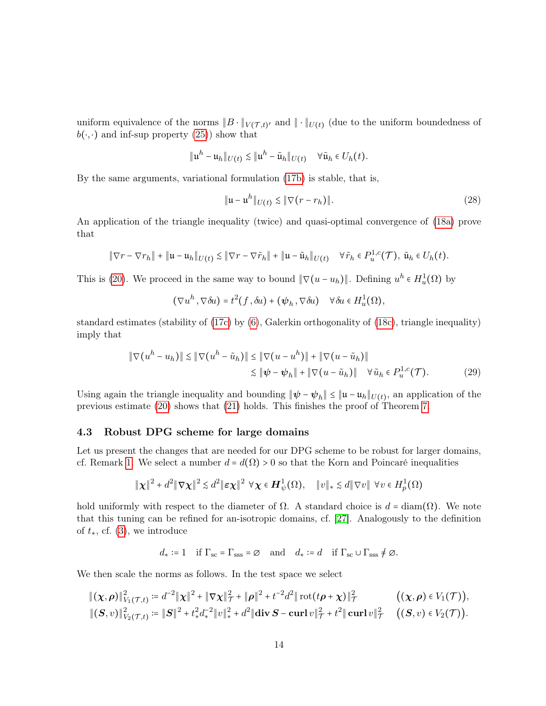uniform equivalence of the norms  $||B \cdot ||_{V(\mathcal{T},t)}$  and  $|| \cdot ||_{U(t)}$  (due to the uniform boundedness of  $b(\cdot, \cdot)$  and inf-sup property  $(25)$ ) show that

$$
\|\mathfrak{u}^h-\mathfrak{u}_h\|_{U(t)}\lesssim \|\mathfrak{u}^h-\tilde{\mathfrak{u}}_h\|_{U(t)}\quad\forall\tilde{\mathfrak{u}}_h\in U_h(t).
$$

By the same arguments, variational formulation [\(17b\)](#page-8-3) is stable, that is,

<span id="page-13-2"></span><span id="page-13-1"></span>
$$
\|\mathfrak{u} - \mathfrak{u}^h\|_{U(t)} \lesssim \|\nabla (r - r_h)\|.\tag{28}
$$

An application of the triangle inequality (twice) and quasi-optimal convergence of [\(18a\)](#page-9-6) prove that

$$
\|\nabla r-\nabla r_h\|+\|{\bf u}-{\bf u}_h\|_{U(t)}\lesssim \|\nabla r-\nabla \tilde r_h\|+\|{\bf u}-\tilde {\bf u}_h\|_{U(t)}\quad \forall \tilde r_h\in P^{1,c}_u(\mathcal T),\ \tilde {\bf u}_h\in U_h(t).
$$

This is [\(20\)](#page-9-7). We proceed in the same way to bound  $\|\nabla(u - u_h)\|$ . Defining  $u^h \in H^1_u(\Omega)$  by

$$
(\nabla u^h, \nabla \delta u) = t^2(f, \delta u) + (\psi_h, \nabla \delta u) \quad \forall \delta u \in H_u^1(\Omega),
$$

standard estimates (stability of [\(17c\)](#page-8-2) by [\(6\)](#page-4-1), Galerkin orthogonality of [\(18c\)](#page-9-8), triangle inequality) imply that

$$
\|\nabla(u^h - u_h)\| \le \|\nabla(u^h - \tilde{u}_h)\| \le \|\nabla(u - u^h)\| + \|\nabla(u - \tilde{u}_h)\|
$$
  

$$
\le \|\psi - \psi_h\| + \|\nabla(u - \tilde{u}_h)\| \quad \forall \tilde{u}_h \in P_u^{1,c}(\mathcal{T}).
$$
 (29)

Using again the triangle inequality and bounding  $\|\psi - \psi_h\| \leq \|\mathfrak{u} - \mathfrak{u}_h\|_{U(t)}$ , an application of the previous estimate [\(20\)](#page-9-7) shows that [\(21\)](#page-9-9) holds. This finishes the proof of Theorem [7.](#page-9-2)

## <span id="page-13-0"></span>4.3 Robust DPG scheme for large domains

Let us present the changes that are needed for our DPG scheme to be robust for larger domains, cf. Remark [1.](#page-4-5) We select a number  $d = d(\Omega) > 0$  so that the Korn and Poincaré inequalities

$$
\|\boldsymbol{\chi}\|^2 + d^2 \|\nabla \boldsymbol{\chi}\|^2 \lesssim d^2 \|\boldsymbol{\varepsilon} \boldsymbol{\chi}\|^2 \ \forall \boldsymbol{\chi} \in \boldsymbol{H}^1_{\psi}(\Omega), \quad \|v\|_{*} \lesssim d \|\nabla v\| \ \forall v \in H^1_p(\Omega)
$$

hold uniformly with respect to the diameter of  $\Omega$ . A standard choice is  $d = \text{diam}(\Omega)$ . We note that this tuning can be refined for an-isotropic domains, cf. [\[27\]](#page-25-8). Analogously to the definition of  $t_*,$  cf. [\(3\)](#page-3-1), we introduce

$$
d_* := 1
$$
 if  $\Gamma_{sc} = \Gamma_{sss} = \emptyset$  and  $d_* := d$  if  $\Gamma_{sc} \cup \Gamma_{sss} \neq \emptyset$ .

We then scale the norms as follows. In the test space we select

$$
\begin{aligned}\n\|(\boldsymbol{\chi},\boldsymbol{\rho})\|^2_{V_1(\mathcal{T},t)} &:= d^{-2} \|\boldsymbol{\chi}\|^2 + \|\nabla \boldsymbol{\chi}\|^2_{\mathcal{T}} + \|\boldsymbol{\rho}\|^2 + t^{-2} d^2 \|\operatorname{rot}(t\boldsymbol{\rho} + \boldsymbol{\chi})\|^2_{\mathcal{T}} \qquad ((\boldsymbol{\chi},\boldsymbol{\rho}) \in V_1(\mathcal{T})), \\
\|(S,v)\|^2_{V_2(\mathcal{T},t)} &:= \|\boldsymbol{S}\|^2 + t_*^2 d_*^{-2} \|v\|^2_* + d^2 \|\operatorname{div} \boldsymbol{S} - \operatorname{curl} v\|^2_{\mathcal{T}} + t^2 \|\operatorname{curl} v\|^2_{\mathcal{T}} \qquad ((S,v) \in V_2(\mathcal{T})).\n\end{aligned}
$$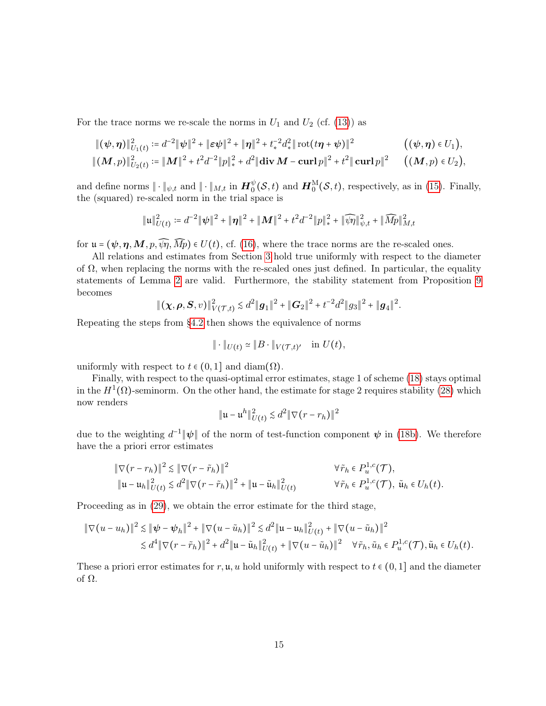For the trace norms we re-scale the norms in  $U_1$  and  $U_2$  (cf. [\(13\)](#page-6-1)) as

$$
\begin{aligned}\n\|(\psi,\eta)\|_{U_1(t)}^2 &:= d^{-2} \|\psi\|^2 + \|\varepsilon\psi\|^2 + \|\eta\|^2 + t_*^{-2} d_*^2 \|\cot(t\eta + \psi)\|^2 \\
\|(M,p)\|_{U_2(t)}^2 &:= \|M\|^2 + t^2 d^{-2} \|p\|_*^2 + d^2 \|\text{div}\, M - \text{curl}\, p\|^2 + t^2 \|\text{curl}\, p\|^2 \qquad ((M,p) \in U_2),\n\end{aligned}
$$

and define norms  $\|\cdot\|_{\psi,t}$  and  $\|\cdot\|_{M,t}$  in  $\mathbf{H}_0^{\psi}(\mathcal{S},t)$  and  $\mathbf{H}_0^{\mathrm{M}}(\mathcal{S},t)$ , respectively, as in [\(15\)](#page-7-3). Finally, the (squared) re-scaled norm in the trial space is

$$
\|\mathfrak{u}\|_{U(t)}^2 := d^{-2} \|\psi\|^2 + \|\boldsymbol{\eta}\|^2 + \|\boldsymbol{M}\|^2 + t^2 d^{-2} \|p\|_*^2 + \|\widehat{\psi}\eta\|_{\psi,t}^2 + \|\widehat{Mp}\|_{M,t}^2
$$

for  $\mathfrak{u} = (\psi, \eta, M, p, \widehat{\psi}, \widehat{Mp}) \in U(t)$ , cf. [\(16\)](#page-8-5), where the trace norms are the re-scaled ones.

All relations and estimates from Section [3](#page-5-7) hold true uniformly with respect to the diameter of  $\Omega$ , when replacing the norms with the re-scaled ones just defined. In particular, the equality statements of Lemma [2](#page-7-2) are valid. Furthermore, the stability statement from Proposition [9](#page-10-9) becomes

 $\|(\boldsymbol{\chi},\boldsymbol{\rho},\boldsymbol{S}, v)\|_{V(\mathcal{T},t)}^2 \lesssim d^2\|\boldsymbol{g}_1\|^2 + \|\boldsymbol{G}_2\|^2 + t^{-2}d^2\|g_3\|^2 + \|\boldsymbol{g}_4\|^2.$ 

Repeating the steps from [§4.2](#page-11-0) then shows the equivalence of norms

$$
\|\cdot\|_{U(t)} \simeq \|B\cdot\|_{V(\mathcal{T},t)'} \quad \text{in } U(t),
$$

uniformly with respect to  $t \in (0,1]$  and diam $(\Omega)$ .

Finally, with respect to the quasi-optimal error estimates, stage 1 of scheme [\(18\)](#page-9-3) stays optimal in the  $H^1(\Omega)$ -seminorm. On the other hand, the estimate for stage 2 requires stability [\(28\)](#page-13-1) which now renders

$$
\|\mathfrak{u} - \mathfrak{u}^h\|_{U(t)}^2 \lesssim d^2 \|\nabla (r - r_h)\|^2
$$

due to the weighting  $d^{-1}||\psi||$  of the norm of test-function component  $\psi$  in [\(18b\)](#page-9-4). We therefore have the a priori error estimates

$$
\|\nabla(r - r_h)\|^2 \le \|\nabla(r - \tilde{r}_h)\|^2
$$
\n
$$
\|\mathbf{u} - \mathbf{u}_h\|_{U(t)}^2 \le d^2 \|\nabla(r - \tilde{r}_h)\|^2 + \|\mathbf{u} - \tilde{\mathbf{u}}_h\|_{U(t)}^2
$$
\n
$$
\forall \tilde{r}_h \in P_u^{1,c}(\mathcal{T}), \tilde{\mathbf{u}}_h \in U_h(t).
$$

Proceeding as in [\(29\)](#page-13-2), we obtain the error estimate for the third stage,

$$
\|\nabla(u - u_h)\|^2 \lesssim \|\psi - \psi_h\|^2 + \|\nabla(u - \tilde{u}_h)\|^2 \lesssim d^2 \|\mathbf{u} - \mathbf{u}_h\|_{U(t)}^2 + \|\nabla(u - \tilde{u}_h)\|^2
$$
  

$$
\lesssim d^4 \|\nabla(r - \tilde{r}_h)\|^2 + d^2 \|\mathbf{u} - \tilde{\mathbf{u}}_h\|_{U(t)}^2 + \|\nabla(u - \tilde{u}_h)\|^2 \quad \forall \tilde{r}_h, \tilde{u}_h \in P_u^{1,c}(\mathcal{T}), \tilde{\mathbf{u}}_h \in U_h(t).
$$

These a priori error estimates for r, u, u hold uniformly with respect to  $t \in (0,1]$  and the diameter of Ω.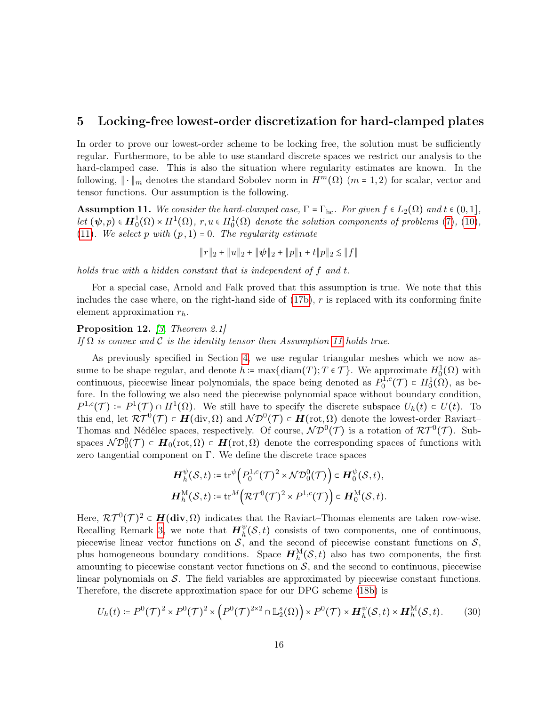# <span id="page-15-0"></span>5 Locking-free lowest-order discretization for hard-clamped plates

In order to prove our lowest-order scheme to be locking free, the solution must be sufficiently regular. Furthermore, to be able to use standard discrete spaces we restrict our analysis to the hard-clamped case. This is also the situation where regularity estimates are known. In the following,  $\|\cdot\|_m$  denotes the standard Sobolev norm in  $H^m(\Omega)$  (m = 1, 2) for scalar, vector and tensor functions. Our assumption is the following.

<span id="page-15-1"></span>**Assumption 11.** We consider the hard-clamped case,  $\Gamma = \Gamma_{\text{hc}}$ . For given  $f \in L_2(\Omega)$  and  $t \in (0,1]$ , let  $(\psi, p) \in H_0^1(\Omega) \times H^1(\Omega)$ ,  $r, u \in H_0^1(\Omega)$  denote the solution components of problems [\(7\)](#page-4-2), [\(10\)](#page-5-0), [\(11\)](#page-5-6). We select p with  $(p, 1) = 0$ . The regularity estimate

∥r∥<sup>2</sup> + ∥u∥<sup>2</sup> + ∥ψ∥<sup>2</sup> + ∥p∥<sup>1</sup> + t∥p∥<sup>2</sup> ≲ ∥f∥

holds true with a hidden constant that is independent of f and t.

For a special case, Arnold and Falk proved that this assumption is true. We note that this includes the case where, on the right-hand side of  $(17b)$ , r is replaced with its conforming finite element approximation  $r_h$ .

Proposition 12. [\[3,](#page-23-0) Theorem 2.1] If  $\Omega$  is convex and C is the identity tensor then Assumption [11](#page-15-1) holds true.

As previously specified in Section [4,](#page-8-0) we use regular triangular meshes which we now assume to be shape regular, and denote  $h := \max\{\text{diam}(T); T \in \mathcal{T}\}\)$ . We approximate  $H_0^1(\Omega)$  with continuous, piecewise linear polynomials, the space being denoted as  $P_0^{1,c}$  $b_0^{1,c}(\mathcal{T}) \subset H_0^1(\Omega)$ , as before. In the following we also need the piecewise polynomial space without boundary condition,  $P^{1,c}(\mathcal{T}) = P^1(\mathcal{T}) \cap H^1(\Omega)$ . We still have to specify the discrete subspace  $U_h(t) \subset U(t)$ . To this end, let  $\mathcal{RT}^0(\mathcal{T}) \subset \mathbf{H}(\text{div}, \Omega)$  and  $\mathcal{ND}^0(\mathcal{T}) \subset \mathbf{H}(\text{rot}, \Omega)$  denote the lowest-order Raviart– Thomas and Nédélec spaces, respectively. Of course,  $ND^0(\mathcal{T})$  is a rotation of  $\mathcal{RT}^0(\mathcal{T})$ . Subspaces  $\mathcal{ND}_0^0(\mathcal{T}) \subset H_0(\text{rot}, \Omega) \subset H(\text{rot}, \Omega)$  denote the corresponding spaces of functions with zero tangential component on  $\Gamma$ . We define the discrete trace spaces

<span id="page-15-2"></span>
$$
\begin{aligned} \boldsymbol{H}_h^\psi(\mathcal{S},t) \coloneqq \mathrm{tr}^\psi\Big(P_0^{1,c}(\mathcal{T})^2 \times \mathcal{N}\mathcal{D}_0^0(\mathcal{T})\Big) \subset \boldsymbol{H}_0^\psi(\mathcal{S},t),\\ \boldsymbol{H}_h^\mathrm{M}(\mathcal{S},t) \coloneqq \mathrm{tr}^M\Big(\mathcal{R}\mathcal{T}^0(\mathcal{T})^2 \times P^{1,c}(\mathcal{T})\Big) \subset \boldsymbol{H}_0^\mathrm{M}(\mathcal{S},t). \end{aligned}
$$

Here,  $\mathcal{RT}^0(\mathcal{T})^2 \subset H(\text{div}, \Omega)$  indicates that the Raviart–Thomas elements are taken row-wise. Recalling Remark [3,](#page-7-0) we note that  $H_h^{\psi}(S,t)$  consists of two components, one of continuous, piecewise linear vector functions on  $S$ , and the second of piecewise constant functions on  $S$ , plus homogeneous boundary conditions. Space  $H_h^M(S,t)$  also has two components, the first amounting to piecewise constant vector functions on  $S$ , and the second to continuous, piecewise linear polynomials on  $\mathcal{S}$ . The field variables are approximated by piecewise constant functions. Therefore, the discrete approximation space for our DPG scheme [\(18b\)](#page-9-4) is

$$
U_h(t) \coloneqq P^0(\mathcal{T})^2 \times P^0(\mathcal{T})^2 \times \left( P^0(\mathcal{T})^{2 \times 2} \cap \mathbb{L}_2^s(\Omega) \right) \times P^0(\mathcal{T}) \times \mathbf{H}_h^{\psi}(\mathcal{S},t) \times \mathbf{H}_h^{\mathcal{M}}(\mathcal{S},t). \tag{30}
$$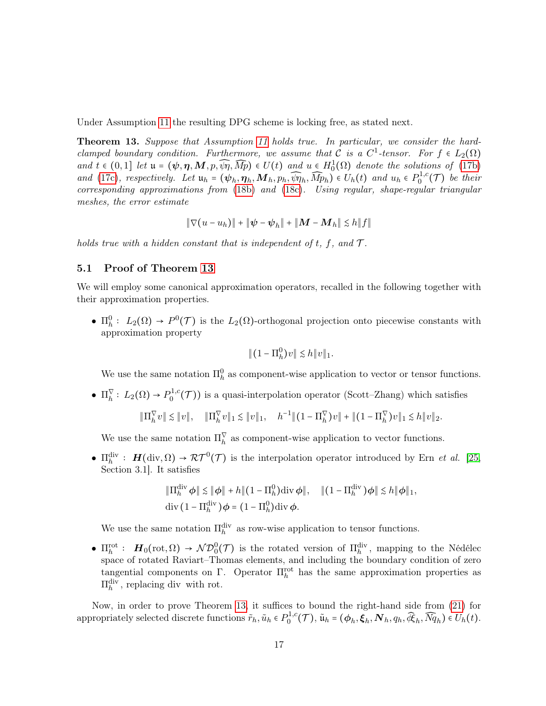Under Assumption [11](#page-15-1) the resulting DPG scheme is locking free, as stated next.

<span id="page-16-0"></span>Theorem 13. Suppose that Assumption [11](#page-15-1) holds true. In particular, we consider the hardclamped boundary condition. Furthermore, we assume that C is a  $C^1$ -tensor. For  $f \in L_2(\Omega)$ and  $t \in (0,1]$  let  $\mathfrak{u} = (\psi, \eta, M, p, \widehat{\psi}\eta, \widehat{Mp}) \in U(t)$  and  $u \in H_0^1(\Omega)$  denote the solutions of [\(17b\)](#page-8-3) and [\(17c\)](#page-8-2), respectively. Let  $\mathbf{u}_h = (\psi_h, \eta_h, \mathbf{M}_h, p_h, \widehat{\psi}\eta_h, \widehat{M}p_h) \in U_h(t)$  and  $u_h \in P_0^{1,c}$  $\int_0^{1,c}$ (*T*) be their corresponding approximations from [\(18b\)](#page-9-4) and [\(18c\)](#page-9-8). Using regular, shape-regular triangular meshes, the error estimate

$$
\|\nabla(u - u_h)\| + \|\psi - \psi_h\| + \|M - M_h\| \le h \|f\|
$$

holds true with a hidden constant that is independent of t, f, and  $\mathcal{T}$ .

## 5.1 Proof of Theorem [13](#page-16-0)

We will employ some canonical approximation operators, recalled in the following together with their approximation properties.

•  $\Pi_h^0: L_2(\Omega) \to P^0(\mathcal{T})$  is the  $L_2(\Omega)$ -orthogonal projection onto piecewise constants with approximation property

$$
|| (1 - \Pi_h^0) v || \lesssim h ||v||_1.
$$

We use the same notation  $\Pi_h^0$  as component-wise application to vector or tensor functions.

•  $\Pi_h^{\nabla} : L_2(\Omega) \to P_0^{1,c}$  $0^{1,c}(\mathcal{T})$  is a quasi-interpolation operator (Scott–Zhang) which satisfies

$$
\|\Pi_h^{\nabla}v\|\lesssim \|v\|,\quad \|\Pi_h^{\nabla}v\|_1\lesssim \|v\|_1,\quad h^{-1}\|(1-\Pi_h^{\nabla})v\|+\|(1-\Pi_h^{\nabla})v\|_1\lesssim h\|v\|_2.
$$

We use the same notation  $\Pi_h^{\vee}$  as component-wise application to vector functions.

•  $\Pi_h^{\text{div}}$ :  $H(\text{div}, \Omega) \to \mathcal{RT}^0(\mathcal{T})$  is the interpolation operator introduced by Ern *et al.* [\[25,](#page-25-9) Section 3.1]. It satisfies

$$
\|\Pi_h^{\text{div}} \phi\| \lesssim \|\phi\| + h \|(1 - \Pi_h^0) \text{div} \phi\|, \quad \|(1 - \Pi_h^{\text{div}}) \phi\| \lesssim h \|\phi\|_1,
$$
  
div  $(1 - \Pi_h^{\text{div}}) \phi = (1 - \Pi_h^0) \text{div} \phi.$ 

We use the same notation  $\Pi_h^{\text{div}}$  as row-wise application to tensor functions.

•  $\Pi_h^{\text{rot}}$ :  $H_0(\text{rot}, \Omega) \to \mathcal{N}\mathcal{D}_0^0(\mathcal{T})$  is the rotated version of  $\Pi_h^{\text{div}}$ , mapping to the Nédélec space of rotated Raviart–Thomas elements, and including the boundary condition of zero tangential components on  $\Gamma$ . Operator  $\Pi_h^{\text{rot}}$  has the same approximation properties as  $\Pi_h^{\text{div}}$ , replacing div with rot.

Now, in order to prove Theorem [13,](#page-16-0) it suffices to bound the right-hand side from [\(21\)](#page-9-9) for appropriately selected discrete functions  $\tilde{r}_h, \tilde{u}_h \in P_0^{1,c}$  $\tilde{\mathbf{u}}_0^{1,c}(\mathcal{T}), \tilde{\mathbf{u}}_h = (\boldsymbol{\phi}_h, \boldsymbol{\xi}_h, \boldsymbol{N}_h, q_h, \tilde{\boldsymbol{\phi}}_h, \tilde{N}\tilde{q}_h) \in U_h(t).$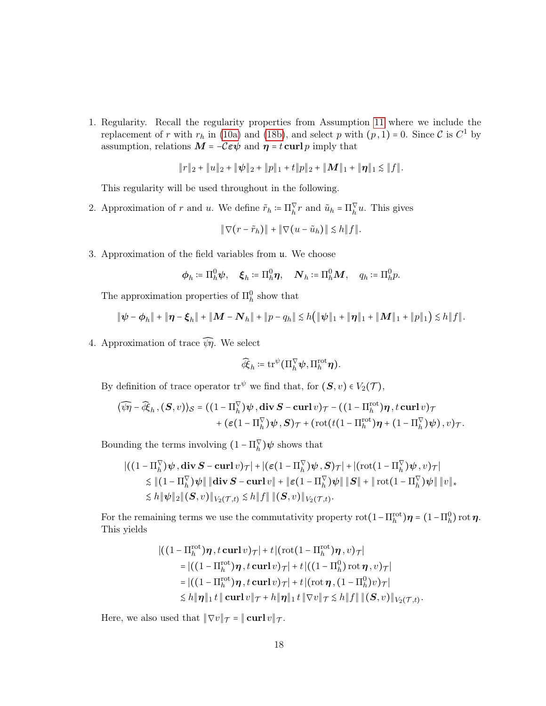1. Regularity. Recall the regularity properties from Assumption [11](#page-15-1) where we include the replacement of r with  $r_h$  in [\(10a\)](#page-5-2) and [\(18b\)](#page-9-4), and select p with  $(p, 1) = 0$ . Since C is  $C^1$  by assumption, relations  $\boldsymbol{M}$  =  $-\mathcal{C}\boldsymbol{\varepsilon}\boldsymbol{\psi}$  and  $\boldsymbol{\eta}$  =  $t\operatorname{\mathbf{curl}} p$  imply that

$$
\|r\|_2 + \|u\|_2 + \|\psi\|_2 + \|p\|_1 + t\|p\|_2 + \|M\|_1 + \|\eta\|_1 \lesssim \|f\|.
$$

This regularity will be used throughout in the following.

2. Approximation of r and u. We define  $\tilde{r}_h := \prod_h^{\vee} r$  and  $\tilde{u}_h = \prod_h^{\vee} u$ . This gives

$$
\|\nabla(r-\tilde{r}_h)\|+\|\nabla(u-\tilde{u}_h)\|\leq h\|f\|.
$$

3. Approximation of the field variables from u. We choose

$$
\boldsymbol{\phi}_h \coloneqq \Pi^0_h \boldsymbol{\psi}, \quad \boldsymbol{\xi}_h \coloneqq \Pi^0_h \boldsymbol{\eta}, \quad \boldsymbol{N}_h \coloneqq \Pi^0_h \boldsymbol{M}, \quad q_h \coloneqq \Pi^0_h p.
$$

The approximation properties of  $\Pi_h^0$  show that

$$
\|\boldsymbol{\psi}-\boldsymbol{\phi}_h\|+\|\boldsymbol{\eta}-\boldsymbol{\xi}_h\|+\|\boldsymbol{M}-\boldsymbol{N}_h\|+\|p-q_h\|\lesssim h(\|\boldsymbol{\psi}\|_1+\|\boldsymbol{\eta}\|_1+\|\boldsymbol{M}\|_1+\|p\|_1)\lesssim h\|f\|.
$$

4. Approximation of trace  $\widehat{\psi}\eta$ . We select

$$
\widehat{\mathcal{A}}_h \coloneqq \operatorname{tr}^{\psi}(\Pi_h^{\nabla} \psi, \Pi_h^{\mathrm{rot}} \boldsymbol{\eta}).
$$

By definition of trace operator  $\mathrm{tr}^{\psi}$  we find that, for  $(\mathbf{S}, v) \in V_2(\mathcal{T})$ ,

$$
\langle \widehat{\psi}\eta - \widehat{\mathcal{R}}_h, (\mathbf{S}, v) \rangle_{\mathcal{S}} = ((1 - \Pi_h^{\nabla})\psi, \operatorname{\mathbf{div}} \mathbf{S} - \operatorname{\mathbf{curl}} v)_{\mathcal{T}} - ((1 - \Pi_h^{\text{rot}})\eta, t \operatorname{\mathbf{curl}} v)_{\mathcal{T}} + (\varepsilon (1 - \Pi_h^{\nabla})\psi, \mathbf{S})_{\mathcal{T}} + (\operatorname{rot}(t(1 - \Pi_h^{\text{rot}})\eta + (1 - \Pi_h^{\nabla})\psi), v)_{\mathcal{T}}.
$$

Bounding the terms involving  $(1 - \Pi_h^{\vee}) \psi$  shows that

$$
\begin{aligned} &\left|\left((1-\Pi_h^{\nabla})\boldsymbol{\psi}\,,\mathbf{div}\,\boldsymbol{S}-\mathbf{curl}\,v\right)\tau\right|+\left|\left(\boldsymbol{\varepsilon}(1-\Pi_h^{\nabla})\boldsymbol{\psi}\,,\boldsymbol{S}\right)\tau\right|+\left|\left(\mathrm{rot}(1-\Pi_h^{\nabla})\boldsymbol{\psi}\,,v\right)\tau\right|\\ &\lesssim \left\|(1-\Pi_h^{\nabla})\boldsymbol{\psi}\right\|\|\mathbf{div}\,\boldsymbol{S}-\mathbf{curl}\,v\|+\left\|\boldsymbol{\varepsilon}(1-\Pi_h^{\nabla})\boldsymbol{\psi}\right\|\|\boldsymbol{S}\|+\|\,\mathrm{rot}(1-\Pi_h^{\nabla})\boldsymbol{\psi}\|\,\|v\|_{*}\\ &\lesssim h\|\boldsymbol{\psi}\|_2\|( \boldsymbol{S},v)\|_{V_2(\mathcal{T},t)}\lesssim h\|f\|\,\|( \boldsymbol{S},v)\|_{V_2(\mathcal{T},t)}. \end{aligned}
$$

For the remaining terms we use the commutativity property  $\text{rot}(1-\Pi_h^{\text{rot}})\boldsymbol{\eta} = (1-\Pi_h^0)\text{rot}\boldsymbol{\eta}$ . This yields

$$
\begin{aligned}\n\left| \left( \left( 1 - \Pi_h^{\text{rot}} \right) \pmb{\eta} \right|, & t \operatorname{\mathbf{curl}} v \right) \mathcal{T} \right| + t \left| \left( \operatorname{rot} \left( 1 - \Pi_h^{\text{rot}} \right) \pmb{\eta} \right|, v \right) \mathcal{T} \right| \\
&= \left| \left( \left( 1 - \Pi_h^{\text{rot}} \right) \pmb{\eta} \right|, & t \operatorname{\mathbf{curl}} v \right) \mathcal{T} \right| + t \left| \left( \left( 1 - \Pi_h^0 \right) \operatorname{\mathbf{rot}} \pmb{\eta} \right|, v \right) \mathcal{T} \right| \\
&= \left| \left( \left( 1 - \Pi_h^{\text{rot}} \right) \pmb{\eta} \right|, & t \operatorname{\mathbf{curl}} v \right) \mathcal{T} \right| + t \left| \left( \operatorname{\mathbf{rot}} \pmb{\eta} \right|, \left( 1 - \Pi_h^0 \right) v \right) \mathcal{T} \right| \\
& \lesssim h \|\pmb{\eta}\|_1 t \|\operatorname{\mathbf{curl}} v \|\pmb{\eta} + h \|\pmb{\eta}\|_1 t \|\nabla v \|\pmb{\eta} \lesssim h \|f\| \|(S, v)\|_{V_2(\pmb{\mathcal{T}}, t)}.\n\end{aligned}
$$

Here, we also used that  $\|\nabla v\|_{\mathcal{T}} = \|\operatorname{curl} v\|_{\mathcal{T}}$ .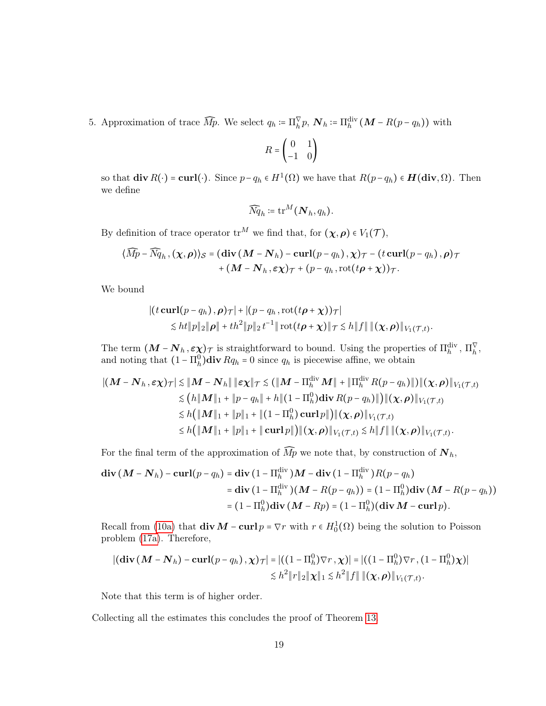5. Approximation of trace  $\widehat{M}p$ . We select  $q_h \coloneqq \prod_h^{\nabla} p$ ,  $\mathbf{N}_h \coloneqq \prod_h^{\text{div}} (\mathbf{M} - R(p - q_h))$  with

$$
R = \begin{pmatrix} 0 & 1 \\ -1 & 0 \end{pmatrix}
$$

so that  $\textbf{div}\,R(\cdot) = \textbf{curl}(\cdot)$ . Since  $p - q_h \in H^1(\Omega)$  we have that  $R(p - q_h) \in H(\textbf{div}, \Omega)$ . Then we define

$$
\widehat{N\!q}_h \coloneqq \text{tr}^M(\boldsymbol{N}_h,q_h).
$$

By definition of trace operator  $tr^M$  we find that, for  $(\chi,\rho) \in V_1(\mathcal{T})$ ,

$$
\langle \widehat{Mp} - \widehat{Nq}_h, (\chi, \rho) \rangle_{\mathcal{S}} = (\text{div} \, (M - N_h) - \text{curl}(p - q_h), \chi)_{\mathcal{T}} - (t \, \text{curl}(p - q_h), \rho)_{\mathcal{T}} + (M - N_h, \varepsilon \chi)_{\mathcal{T}} + (p - q_h, \text{rot}(t\rho + \chi))_{\mathcal{T}}.
$$

We bound

$$
\begin{aligned} \left| \left( t \mathbf{curl}(p - q_h), \boldsymbol{\rho} \right) \tau \right| + \left| \left( p - q_h, \mathrm{rot}(t \boldsymbol{\rho} + \boldsymbol{\chi}) \right) \tau \right| \\ &\leq ht \|\boldsymbol{p}\|_2 \|\boldsymbol{\rho}\| + th^2 \|\boldsymbol{p}\|_2 t^{-1} \|\mathrm{rot}(t \boldsymbol{\rho} + \boldsymbol{\chi})\|_{\mathcal{T}} \lesssim h \|f\| \, \|(\boldsymbol{\chi}, \boldsymbol{\rho})\|_{V_1(\mathcal{T}, t)}. \end{aligned}
$$

The term  $(M - N_h, \epsilon \chi)$  is straightforward to bound. Using the properties of  $\Pi_h^{\text{div}}, \Pi_h^{\nabla}$ , and noting that  $(1 - \Pi_h^0)$ div  $Rq_h = 0$  since  $q_h$  is piecewise affine, we obtain

$$
\begin{aligned}\n\| (M - N_h, \varepsilon \chi)_{\mathcal{T}} \| &\leq \| M - N_h \| \|\varepsilon \chi \|_{\mathcal{T}} \leq ( \| M - \Pi_h^{\text{div}} M \| + \| \Pi_h^{\text{div}} R(p - q_h) \|) \| (\chi, \rho) \|_{V_1(\mathcal{T}, t)} \\
&\leq (h \| M \|_1 + \| p - q_h \| + h \| (1 - \Pi_h^0) \operatorname{div} R(p - q_h) \|) \| (\chi, \rho) \|_{V_1(\mathcal{T}, t)} \\
&\leq h ( \| M \|_1 + \| p \|_1 + \| (1 - \Pi_h^0) \operatorname{curl} p \|) \| (\chi, \rho) \|_{V_1(\mathcal{T}, t)} \\
&\leq h ( \| M \|_1 + \| p \|_1 + \| \operatorname{curl} p \|) \| (\chi, \rho) \|_{V_1(\mathcal{T}, t)} \leq h \| f \| \| (\chi, \rho) \|_{V_1(\mathcal{T}, t)}.\n\end{aligned}
$$

For the final term of the approximation of  $\widehat{Mp}$  we note that, by construction of  $\mathbf{N}_h$ ,

$$
\begin{aligned} \mathbf{div}\left(\mathbf{M}-\mathbf{N}_h\right)-\mathbf{curl}(p-q_h) &= \mathbf{div}\left(1-\Pi_h^{\text{div}}\right)\mathbf{M}-\mathbf{div}\left(1-\Pi_h^{\text{div}}\right)\mathbf{R}(p-q_h) \\ &= \mathbf{div}\left(1-\Pi_h^{\text{div}}\right)(\mathbf{M}-R(p-q_h)) = \left(1-\Pi_h^0\right)\mathbf{div}\left(\mathbf{M}-R(p-q_h)\right) \\ &= \left(1-\Pi_h^0\right)\mathbf{div}\left(\mathbf{M}-Rp\right) = \left(1-\Pi_h^0\right)(\mathbf{div}\mathbf{M}-\mathbf{curl}\,p). \end{aligned}
$$

Recall from [\(10a\)](#page-5-2) that  $\text{div } M - \text{curl } p = \nabla r$  with  $r \in H_0^1(\Omega)$  being the solution to Poisson problem [\(17a\)](#page-8-1). Therefore,

$$
\begin{aligned} |(\mathbf{div}\left(\mathbf{M}-\mathbf{N}_h\right)-\mathbf{curl}(p-q_h),\boldsymbol{\chi})_{\mathcal{T}}|&=|((1-\Pi_h^0)\nabla r,\boldsymbol{\chi})|=(\left((1-\Pi_h^0)\nabla r,(1-\Pi_h^0)\boldsymbol{\chi}\right)|\\ &\lesssim h^2\|r\|_2\|\boldsymbol{\chi}\|_1\lesssim h^2\|f\|\|(\boldsymbol{\chi},\boldsymbol{\rho})\|_{V_1(\mathcal{T},t)}.\end{aligned}
$$

Note that this term is of higher order.

Collecting all the estimates this concludes the proof of Theorem [13.](#page-16-0)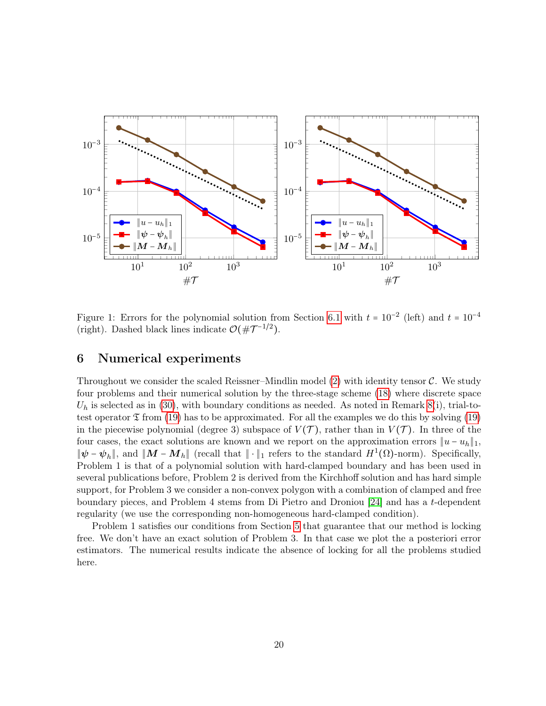

<span id="page-19-1"></span>Figure 1: Errors for the polynomial solution from Section [6.1](#page-20-0) with  $t = 10^{-2}$  (left) and  $t = 10^{-4}$ (right). Dashed black lines indicate  $\mathcal{O}(\#\mathcal{T}^{-1/2})$ .

# <span id="page-19-0"></span>6 Numerical experiments

Throughout we consider the scaled Reissner–Mindlin model  $(2)$  with identity tensor C. We study four problems and their numerical solution by the three-stage scheme [\(18\)](#page-9-3) where discrete space  $U_h$  is selected as in [\(30\)](#page-15-2), with boundary conditions as needed. As noted in Remark [8\(](#page-10-10)i), trial-totest operator  $\mathfrak T$  from [\(19\)](#page-9-5) has to be approximated. For all the examples we do this by solving (19) in the piecewise polynomial (degree 3) subspace of  $V(\mathcal{T})$ , rather than in  $V(\mathcal{T})$ . In three of the four cases, the exact solutions are known and we report on the approximation errors  $||u - u_h||_1$ ,  $\|\psi - \psi_h\|$ , and  $\|\mathbf{M} - \mathbf{M}_h\|$  (recall that  $\|\cdot\|_1$  refers to the standard  $H^1(\Omega)$ -norm). Specifically, Problem 1 is that of a polynomial solution with hard-clamped boundary and has been used in several publications before, Problem 2 is derived from the Kirchhoff solution and has hard simple support, for Problem 3 we consider a non-convex polygon with a combination of clamped and free boundary pieces, and Problem 4 stems from Di Pietro and Droniou [\[24\]](#page-25-2) and has a t-dependent regularity (we use the corresponding non-homogeneous hard-clamped condition).

Problem 1 satisfies our conditions from Section [5](#page-15-0) that guarantee that our method is locking free. We don't have an exact solution of Problem 3. In that case we plot the a posteriori error estimators. The numerical results indicate the absence of locking for all the problems studied here.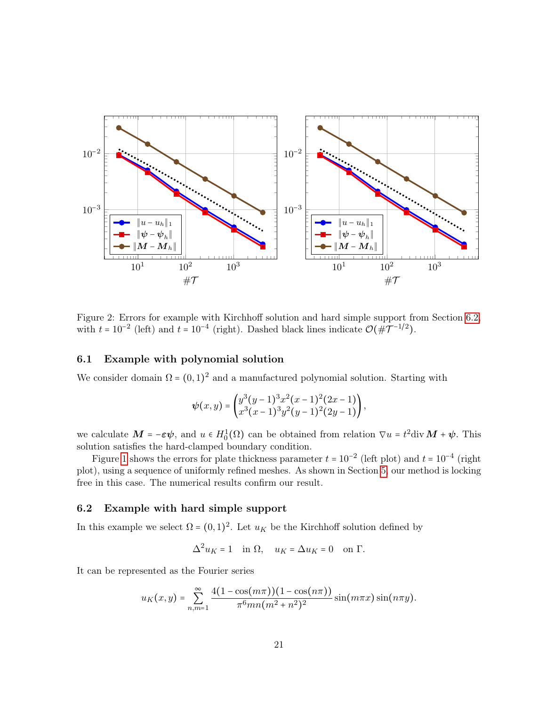

<span id="page-20-2"></span>Figure 2: Errors for example with Kirchhoff solution and hard simple support from Section [6.2,](#page-20-1) with  $t = 10^{-2}$  (left) and  $t = 10^{-4}$  (right). Dashed black lines indicate  $\mathcal{O}(\#\mathcal{T}^{-1/2})$ .

# <span id="page-20-0"></span>6.1 Example with polynomial solution

We consider domain  $\Omega = (0, 1)^2$  and a manufactured polynomial solution. Starting with

$$
\psi(x,y) = \begin{pmatrix} y^3(y-1)^3x^2(z-1)^2(2x-1) \\ x^3(z-1)^3y^2(y-1)^2(2y-1) \end{pmatrix},
$$

we calculate  $M = -\epsilon \psi$ , and  $u \in H_0^1(\Omega)$  can be obtained from relation  $\nabla u = t^2 \text{div } M + \psi$ . This solution satisfies the hard-clamped boundary condition.

Figure [1](#page-19-1) shows the errors for plate thickness parameter  $t = 10^{-2}$  (left plot) and  $t = 10^{-4}$  (right plot), using a sequence of uniformly refined meshes. As shown in Section [5,](#page-15-0) our method is locking free in this case. The numerical results confirm our result.

## <span id="page-20-1"></span>6.2 Example with hard simple support

In this example we select  $\Omega = (0,1)^2$ . Let  $u_K$  be the Kirchhoff solution defined by

$$
\Delta^2 u_K = 1 \quad \text{in } \Omega, \quad u_K = \Delta u_K = 0 \quad \text{on } \Gamma.
$$

It can be represented as the Fourier series

$$
u_K(x,y) = \sum_{n,m=1}^{\infty} \frac{4(1-\cos(m\pi))(1-\cos(n\pi))}{\pi^6 mn(m^2+n^2)^2} \sin(m\pi x) \sin(n\pi y).
$$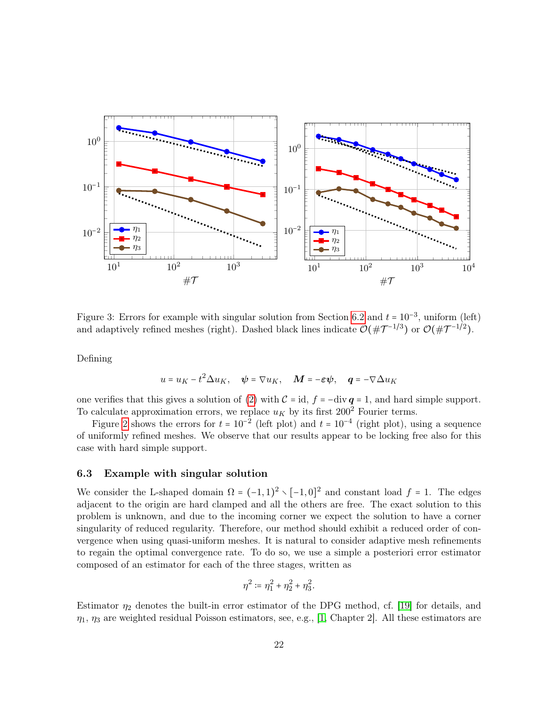

<span id="page-21-1"></span>Figure 3: Errors for example with singular solution from Section [6.2](#page-20-1) and  $t = 10^{-3}$ , uniform (left) and adaptively refined meshes (right). Dashed black lines indicate  $\mathcal{O}(\#\mathcal{T}^{-1/3})$  or  $\mathcal{O}(\#\mathcal{T}^{-1/2})$ .

Defining

$$
u = u_K - t^2 \Delta u_K
$$
,  $\psi = \nabla u_K$ ,  $M = -\varepsilon \psi$ ,  $q = -\nabla \Delta u_K$ 

one verifies that this gives a solution of [\(2\)](#page-3-0) with  $C = id$ ,  $f = -div q = 1$ , and hard simple support. To calculate approximation errors, we replace  $u_K$  by its first 200<sup>2</sup> Fourier terms.

Figure [2](#page-20-2) shows the errors for  $t = 10^{-2}$  (left plot) and  $t = 10^{-4}$  (right plot), using a sequence of uniformly refined meshes. We observe that our results appear to be locking free also for this case with hard simple support.

# <span id="page-21-0"></span>6.3 Example with singular solution

We consider the L-shaped domain  $\Omega = (-1,1)^2 \setminus [-1,0]^2$  and constant load  $f = 1$ . The edges adjacent to the origin are hard clamped and all the others are free. The exact solution to this problem is unknown, and due to the incoming corner we expect the solution to have a corner singularity of reduced regularity. Therefore, our method should exhibit a reduced order of convergence when using quasi-uniform meshes. It is natural to consider adaptive mesh refinements to regain the optimal convergence rate. To do so, we use a simple a posteriori error estimator composed of an estimator for each of the three stages, written as

$$
\eta^2 := \eta_1^2 + \eta_2^2 + \eta_3^2.
$$

Estimator  $\eta_2$  denotes the built-in error estimator of the DPG method, cf. [\[19\]](#page-24-1) for details, and  $\eta_1$ ,  $\eta_3$  are weighted residual Poisson estimators, see, e.g., [\[1,](#page-23-5) Chapter 2]. All these estimators are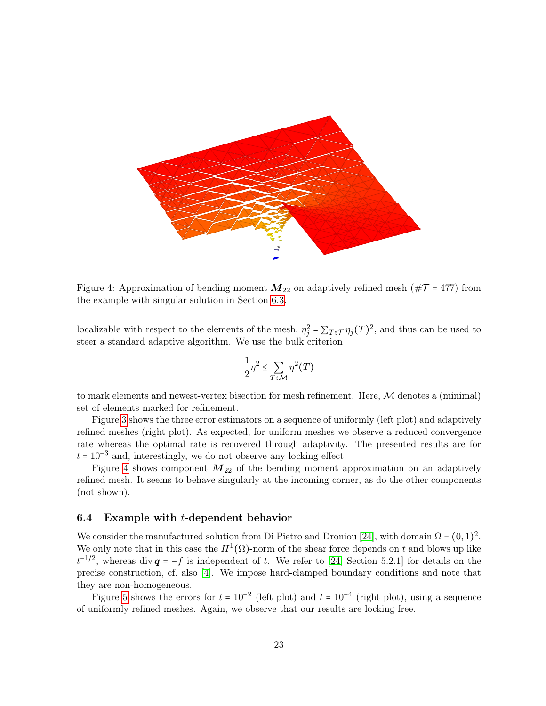

<span id="page-22-0"></span>Figure 4: Approximation of bending moment  $M_{22}$  on adaptively refined mesh ( $\#\mathcal{T}$  = 477) from the example with singular solution in Section [6.3.](#page-21-0)

localizable with respect to the elements of the mesh,  $\eta_j^2 = \sum_{T \in \mathcal{T}} \eta_j(T)^2$ , and thus can be used to steer a standard adaptive algorithm. We use the bulk criterion

$$
\frac{1}{2}\eta^2 \le \sum_{T \in \mathcal{M}} \eta^2(T)
$$

to mark elements and newest-vertex bisection for mesh refinement. Here,  $M$  denotes a (minimal) set of elements marked for refinement.

Figure [3](#page-21-1) shows the three error estimators on a sequence of uniformly (left plot) and adaptively refined meshes (right plot). As expected, for uniform meshes we observe a reduced convergence rate whereas the optimal rate is recovered through adaptivity. The presented results are for  $t = 10^{-3}$  and, interestingly, we do not observe any locking effect.

Figure [4](#page-22-0) shows component  $M_{22}$  of the bending moment approximation on an adaptively refined mesh. It seems to behave singularly at the incoming corner, as do the other components (not shown).

## <span id="page-22-1"></span>6.4 Example with t-dependent behavior

We consider the manufactured solution from Di Pietro and Droniou [\[24\]](#page-25-2), with domain  $\Omega = (0, 1)^2$ . We only note that in this case the  $H^1(\Omega)$ -norm of the shear force depends on t and blows up like  $t^{-1/2}$ , whereas div  $q = -f$  is independent of t. We refer to [\[24,](#page-25-2) Section 5.2.1] for details on the precise construction, cf. also [\[4\]](#page-23-6). We impose hard-clamped boundary conditions and note that they are non-homogeneous.

Figure [5](#page-23-7) shows the errors for  $t = 10^{-2}$  (left plot) and  $t = 10^{-4}$  (right plot), using a sequence of uniformly refined meshes. Again, we observe that our results are locking free.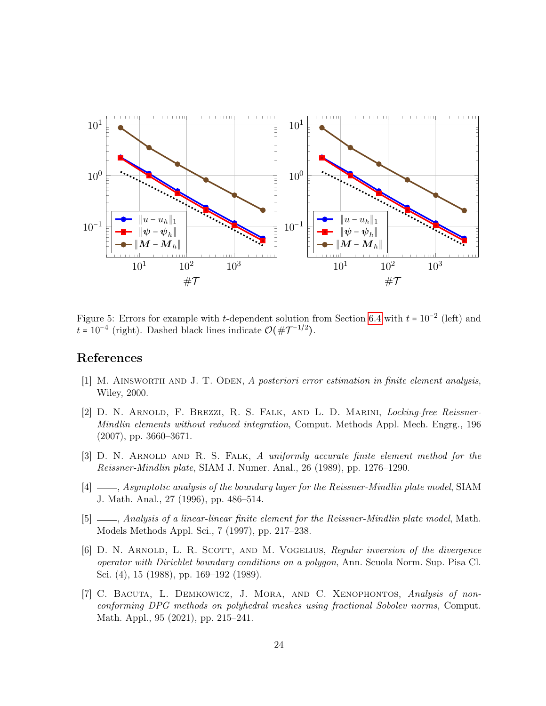

<span id="page-23-7"></span>Figure 5: Errors for example with t-dependent solution from Section [6.4](#page-22-1) with  $t = 10^{-2}$  (left) and  $t = 10^{-4}$  (right). Dashed black lines indicate  $\mathcal{O}(\#\mathcal{T}^{-1/2})$ .

# References

- <span id="page-23-5"></span>[1] M. Ainsworth and J. T. Oden, A posteriori error estimation in finite element analysis, Wiley, 2000.
- <span id="page-23-2"></span>[2] D. N. Arnold, F. Brezzi, R. S. Falk, and L. D. Marini, Locking-free Reissner-Mindlin elements without reduced integration, Comput. Methods Appl. Mech. Engrg., 196 (2007), pp. 3660–3671.
- <span id="page-23-0"></span>[3] D. N. Arnold and R. S. Falk, A uniformly accurate finite element method for the Reissner-Mindlin plate, SIAM J. Numer. Anal., 26 (1989), pp. 1276–1290.
- <span id="page-23-6"></span>[4]  $\Box$ , Asymptotic analysis of the boundary layer for the Reissner-Mindlin plate model, SIAM J. Math. Anal., 27 (1996), pp. 486–514.
- <span id="page-23-1"></span>[5]  $\qquad \qquad$ , Analysis of a linear-linear finite element for the Reissner-Mindlin plate model, Math. Models Methods Appl. Sci., 7 (1997), pp. 217–238.
- <span id="page-23-4"></span>[6] D. N. Arnold, L. R. Scott, and M. Vogelius, Regular inversion of the divergence operator with Dirichlet boundary conditions on a polygon, Ann. Scuola Norm. Sup. Pisa Cl. Sci. (4), 15 (1988), pp. 169–192 (1989).
- <span id="page-23-3"></span>[7] C. Bacuta, L. Demkowicz, J. Mora, and C. Xenophontos, Analysis of nonconforming DPG methods on polyhedral meshes using fractional Sobolev norms, Comput. Math. Appl., 95 (2021), pp. 215–241.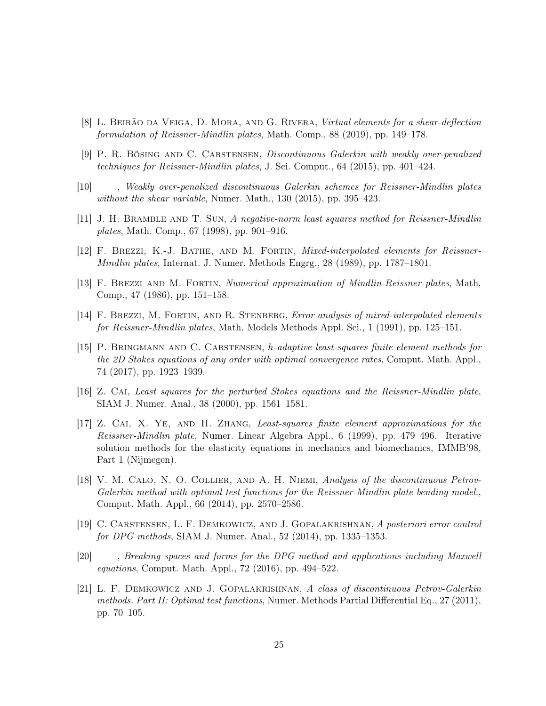- <span id="page-24-8"></span>[8] L. Beirão da Veiga, D. Mora, and G. Rivera, Virtual elements for a shear-deflection formulation of Reissner-Mindlin plates, Math. Comp., 88 (2019), pp. 149–178.
- <span id="page-24-6"></span>[9] P. R. Bösing and C. Carstensen, Discontinuous Galerkin with weakly over-penalized techniques for Reissner-Mindlin plates, J. Sci. Comput., 64 (2015), pp. 401–424.
- <span id="page-24-7"></span>[10] , Weakly over-penalized discontinuous Galerkin schemes for Reissner-Mindlin plates without the shear variable, Numer. Math., 130 (2015), pp. 395–423.
- <span id="page-24-3"></span>[11] J. H. Bramble and T. Sun, A negative-norm least squares method for Reissner-Mindlin plates, Math. Comp., 67 (1998), pp. 901–916.
- <span id="page-24-4"></span>[12] F. Brezzi, K.-J. Bathe, and M. Fortin, Mixed-interpolated elements for Reissner-Mindlin plates, Internat. J. Numer. Methods Engrg., 28 (1989), pp. 1787–1801.
- <span id="page-24-2"></span>[13] F. Brezzi and M. Fortin, Numerical approximation of Mindlin-Reissner plates, Math. Comp., 47 (1986), pp. 151–158.
- <span id="page-24-5"></span>[14] F. BREZZI, M. FORTIN, AND R. STENBERG, *Error analysis of mixed-interpolated elements* for Reissner-Mindlin plates, Math. Models Methods Appl. Sci., 1 (1991), pp. 125–151.
- <span id="page-24-12"></span>[15] P. Bringmann and C. Carstensen, h-adaptive least-squares finite element methods for the 2D Stokes equations of any order with optimal convergence rates, Comput. Math. Appl., 74 (2017), pp. 1923–1939.
- <span id="page-24-10"></span>[16] Z. Cai, Least squares for the perturbed Stokes equations and the Reissner-Mindlin plate, SIAM J. Numer. Anal., 38 (2000), pp. 1561–1581.
- <span id="page-24-9"></span>[17] Z. Cai, X. Ye, and H. Zhang, Least-squares finite element approximations for the Reissner-Mindlin plate, Numer. Linear Algebra Appl., 6 (1999), pp. 479–496. Iterative solution methods for the elasticity equations in mechanics and biomechanics, IMMB'98, Part 1 (Nijmegen).
- <span id="page-24-11"></span>[18] V. M. CALO, N. O. COLLIER, AND A. H. NIEMI, Analysis of the discontinuous Petrov-Galerkin method with optimal test functions for the Reissner-Mindlin plate bending model., Comput. Math. Appl., 66 (2014), pp. 2570–2586.
- <span id="page-24-1"></span>[19] C. Carstensen, L. F. Demkowicz, and J. Gopalakrishnan, A posteriori error control for DPG methods, SIAM J. Numer. Anal., 52 (2014), pp. 1335–1353.
- <span id="page-24-13"></span>[20] , Breaking spaces and forms for the DPG method and applications including Maxwell equations, Comput. Math. Appl., 72 (2016), pp. 494–522.
- <span id="page-24-0"></span>[21] L. F. Demkowicz and J. Gopalakrishnan, A class of discontinuous Petrov-Galerkin methods. Part II: Optimal test functions, Numer. Methods Partial Differential Eq., 27 (2011), pp. 70–105.